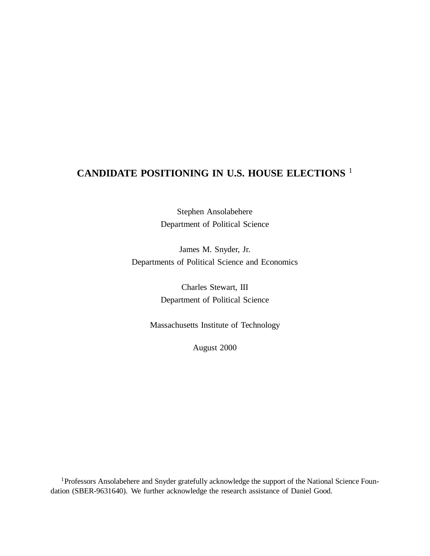# **CANDIDATE POSITIONING IN U.S. HOUSE ELECTIONS** 1

Stephen Ansolabehere Department of Political Science

James M. Snyder, Jr. Departments of Political Science and Economics

> Charles Stewart, III Department of Political Science

Massachusetts Institute of Technology

August 2000

<sup>1</sup>Professors Ansolabehere and Snyder gratefully acknowledge the support of the National Science Foundation (SBER-9631640). We further acknowledge the research assistance of Daniel Good.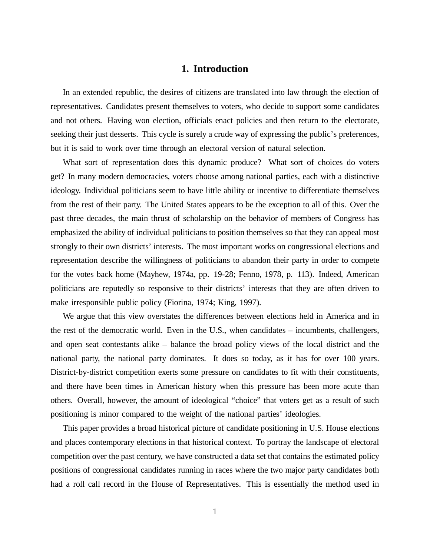# **1. Introduction**

In an extended republic, the desires of citizens are translated into law through the election of representatives. Candidates present themselves to voters, who decide to support some candidates and not others. Having won election, officials enact policies and then return to the electorate, seeking their just desserts. This cycle is surely a crude way of expressing the public's preferences, but it is said to work over time through an electoral version of natural selection.

What sort of representation does this dynamic produce? What sort of choices do voters get? In many modern democracies, voters choose among national parties, each with a distinctive ideology. Individual politicians seem to have little ability or incentive to differentiate themselves from the rest of their party. The United States appears to be the exception to all of this. Over the past three decades, the main thrust of scholarship on the behavior of members of Congress has emphasized the ability of individual politicians to position themselves so that they can appeal most strongly to their own districts' interests. The most important works on congressional elections and representation describe the willingness of politicians to abandon their party in order to compete for the votes back home (Mayhew, 1974a, pp. 19-28; Fenno, 1978, p. 113). Indeed, American politicians are reputedly so responsive to their districts' interests that they are often driven to make irresponsible public policy (Fiorina, 1974; King, 1997).

We argue that this view overstates the differences between elections held in America and in the rest of the democratic world. Even in the U.S., when candidates – incumbents, challengers, and open seat contestants alike – balance the broad policy views of the local district and the national party, the national party dominates. It does so today, as it has for over 100 years. District-by-district competition exerts some pressure on candidates to fit with their constituents, and there have been times in American history when this pressure has been more acute than others. Overall, however, the amount of ideological "choice" that voters get as a result of such positioning is minor compared to the weight of the national parties' ideologies.

This paper provides a broad historical picture of candidate positioning in U.S. House elections and places contemporary elections in that historical context. To portray the landscape of electoral competition over the past century, we have constructed a data set that contains the estimated policy positions of congressional candidates running in races where the two major party candidates both had a roll call record in the House of Representatives. This is essentially the method used in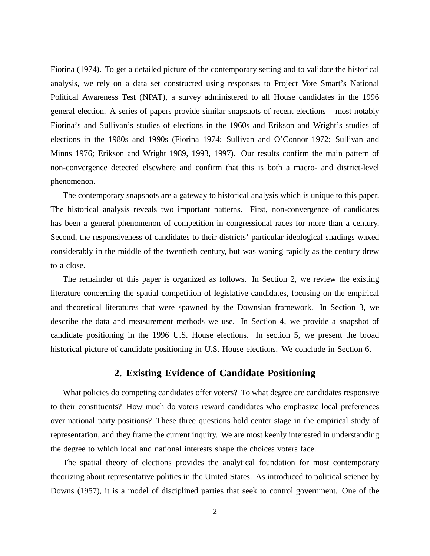Fiorina (1974). To get a detailed picture of the contemporary setting and to validate the historical analysis, we rely on a data set constructed using responses to Project Vote Smart's National Political Awareness Test (NPAT), a survey administered to all House candidates in the 1996 general election. A series of papers provide similar snapshots of recent elections – most notably Fiorina's and Sullivan's studies of elections in the 1960s and Erikson and Wright's studies of elections in the 1980s and 1990s (Fiorina 1974; Sullivan and O'Connor 1972; Sullivan and Minns 1976; Erikson and Wright 1989, 1993, 1997). Our results confirm the main pattern of non-convergence detected elsewhere and confirm that this is both a macro- and district-level phenomenon.

The contemporary snapshots are a gateway to historical analysis which is unique to this paper. The historical analysis reveals two important patterns. First, non-convergence of candidates has been a general phenomenon of competition in congressional races for more than a century. Second, the responsiveness of candidates to their districts'particular ideological shadings waxed considerably in the middle of the twentieth century, but was waning rapidly as the century drew to a close.

The remainder of this paper is organized as follows. In Section 2, we review the existing literature concerning the spatial competition of legislative candidates, focusing on the empirical and theoretical literatures that were spawned by the Downsian framework. In Section 3, we describe the data and measurement methods we use. In Section 4, we provide a snapshot of candidate positioning in the 1996 U.S. House elections. In section 5, we present the broad historical picture of candidate positioning in U.S. House elections. We conclude in Section 6.

### **2. Existing Evidence of Candidate Positioning**

What policies do competing candidates offer voters? To what degree are candidates responsive to their constituents? How much do voters reward candidates who emphasize local preferences over national party positions? These three questions hold center stage in the empirical study of representation, and they frame the current inquiry. We are most keenly interested in understanding the degree to which local and national interests shape the choices voters face.

The spatial theory of elections provides the analytical foundation for most contemporary theorizing about representative politics in the United States. As introduced to political science by Downs (1957), it is a model of disciplined parties that seek to control government. One of the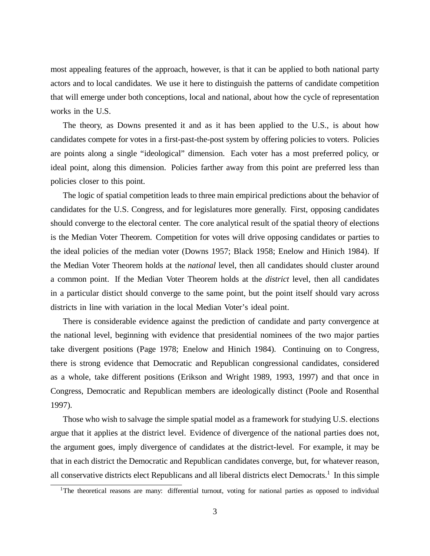most appealing features of the approach, however, is that it can be applied to both national party actors and to local candidates. We use it here to distinguish the patterns of candidate competition that will emerge under both conceptions, local and national, about how the cycle of representation works in the U.S.

The theory, as Downs presented it and as it has been applied to the U.S., is about how candidates compete for votes in a first-past-the-post system by offering policies to voters. Policies are points along a single "ideological" dimension. Each voter has a most preferred policy, or ideal point, along this dimension. Policies farther away from this point are preferred less than policies closer to this point.

The logic of spatial competition leads to three main empirical predictions about the behavior of candidates for the U.S. Congress, and for legislatures more generally. First, opposing candidates should converge to the electoral center. The core analytical result of the spatial theory of elections is the Median Voter Theorem. Competition for votes will drive opposing candidates or parties to the ideal policies of the median voter (Downs 1957; Black 1958; Enelow and Hinich 1984). If the Median Voter Theorem holds at the *national* level, then all candidates should cluster around a common point. If the Median Voter Theorem holds at the *district* level, then all candidates in a particular distict should converge to the same point, but the point itself should vary across districts in line with variation in the local Median Voter's ideal point.

There is considerable evidence against the prediction of candidate and party convergence at the national level, beginning with evidence that presidential nominees of the two major parties take divergent positions (Page 1978; Enelow and Hinich 1984). Continuing on to Congress, there is strong evidence that Democratic and Republican congressional candidates, considered as a whole, take different positions (Erikson and Wright 1989, 1993, 1997) and that once in Congress, Democratic and Republican members are ideologically distinct (Poole and Rosenthal 1997).

Those who wish to salvage the simple spatial model as a framework for studying U.S. elections argue that it applies at the district level. Evidence of divergence of the national parties does not, the argument goes, imply divergence of candidates at the district-level. For example, it may be that in each district the Democratic and Republican candidates converge, but, for whatever reason, all conservative districts elect Republicans and all liberal districts elect Democrats. 1 In this simple

<sup>&</sup>lt;sup>1</sup>The theoretical reasons are many: differential turnout, voting for national parties as opposed to individual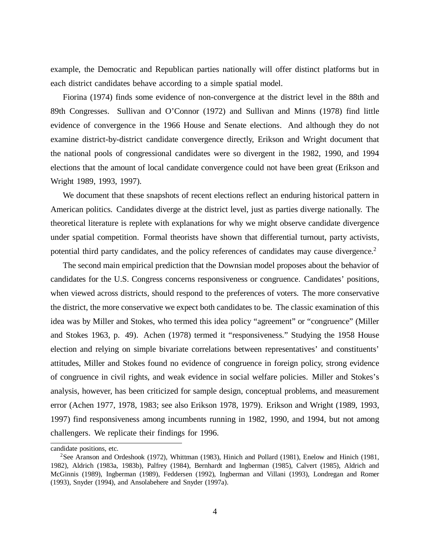example, the Democratic and Republican parties nationally will offer distinct platforms but in each district candidates behave according to a simple spatial model.

Fiorina (1974) finds some evidence of non-convergence at the district level in the 88th and 89th Congresses. Sullivan and O'Connor (1972) and Sullivan and Minns (1978) find little evidence of convergence in the 1966 House and Senate elections. And although they do not examine district-by-district candidate convergence directly, Erikson and Wright document that the national pools of congressional candidates were so divergent in the 1982, 1990, and 1994 elections that the amount of local candidate convergence could not have been great (Erikson and Wright 1989, 1993, 1997).

We document that these snapshots of recent elections reflect an enduring historical pattern in American politics. Candidates diverge at the district level, just as parties diverge nationally. The theoretical literature is replete with explanations for why we might observe candidate divergence under spatial competition. Formal theorists have shown that differential turnout, party activists, potential third party candidates, and the policy references of candidates may cause divergence.<sup>2</sup>

The second main empirical prediction that the Downsian model proposes about the behavior of candidates for the U.S. Congress concerns responsiveness or congruence. Candidates'positions, when viewed across districts, should respond to the preferences of voters. The more conservative the district, the more conservative we expect both candidates to be. The classic examination of this idea was by Miller and Stokes, who termed this idea policy "agreement" or "congruence" (Miller and Stokes 1963, p. 49). Achen (1978) termed it "responsiveness." Studying the 1958 House election and relying on simple bivariate correlations between representatives' and constituents' attitudes, Miller and Stokes found no evidence of congruence in foreign policy, strong evidence of congruence in civil rights, and weak evidence in social welfare policies. Miller and Stokes's analysis, however, has been criticized for sample design, conceptual problems, and measurement error (Achen 1977, 1978, 1983; see also Erikson 1978, 1979). Erikson and Wright (1989, 1993, 1997) find responsiveness among incumbents running in 1982, 1990, and 1994, but not among challengers. We replicate their findings for 1996.

candidate positions, etc.

<sup>2</sup>See Aranson and Ordeshook (1972), Whittman (1983), Hinich and Pollard (1981), Enelow and Hinich (1981, 1982), Aldrich (1983a, 1983b), Palfrey (1984), Bernhardt and Ingberman (1985), Calvert (1985), Aldrich and McGinnis (1989), Ingberman (1989), Feddersen (1992), Ingberman and Villani (1993), Londregan and Romer (1993), Snyder (1994), and Ansolabehere and Snyder (1997a).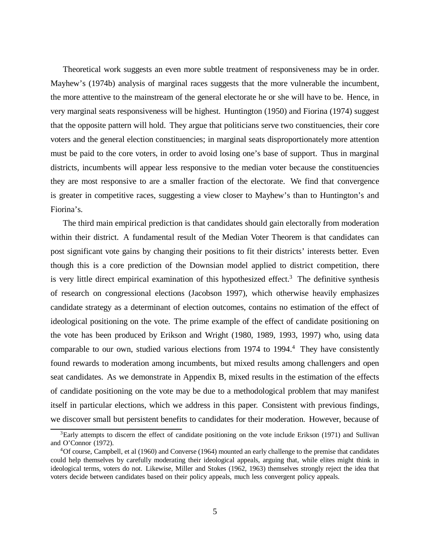Theoretical work suggests an even more subtle treatment of responsiveness may be in order. Mayhew's (1974b) analysis of marginal races suggests that the more vulnerable the incumbent, the more attentive to the mainstream of the general electorate he or she will have to be. Hence, in very marginal seats responsiveness will be highest. Huntington (1950) and Fiorina (1974) suggest that the opposite pattern will hold. They argue that politicians serve two constituencies, their core voters and the general election constituencies; in marginal seats disproportionately more attention must be paid to the core voters, in order to avoid losing one's base of support. Thus in marginal districts, incumbents will appear less responsive to the median voter because the constituencies they are most responsive to are a smaller fraction of the electorate. We find that convergence is greater in competitive races, suggesting a view closer to Mayhew's than to Huntington's and Fiorina's.

The third main empirical prediction is that candidates should gain electorally from moderation within their district. A fundamental result of the Median Voter Theorem is that candidates can post significant vote gains by changing their positions to fit their districts' interests better. Even though this is a core prediction of the Downsian model applied to district competition, there is very little direct empirical examination of this hypothesized effect.<sup>3</sup> The definitive synthesis of research on congressional elections (Jacobson 1997), which otherwise heavily emphasizes candidate strategy as a determinant of election outcomes, contains no estimation of the effect of ideological positioning on the vote. The prime example of the effect of candidate positioning on the vote has been produced by Erikson and Wright (1980, 1989, 1993, 1997) who, using data comparable to our own, studied various elections from 1974 to 1994. <sup>4</sup> They have consistently found rewards to moderation among incumbents, but mixed results among challengers and open seat candidates. As we demonstrate in Appendix B, mixed results in the estimation of the effects of candidate positioning on the vote may be due to a methodological problem that may manifest itself in particular elections, which we address in this paper. Consistent with previous findings, we discover small but persistent benefits to candidates for their moderation. However, because of

<sup>&</sup>lt;sup>3</sup>Early attempts to discern the effect of candidate positioning on the vote include Erikson (1971) and Sullivan and O'Connor (1972).

<sup>4</sup>Of course, Campbell, et al (1960) and Converse (1964) mounted an early challenge to the premise that candidates could help themselves by carefully moderating their ideological appeals, arguing that, while elites might think in ideological terms, voters do not. Likewise, Miller and Stokes (1962, 1963) themselves strongly reject the idea that voters decide between candidates based on their policy appeals, much less convergent policy appeals.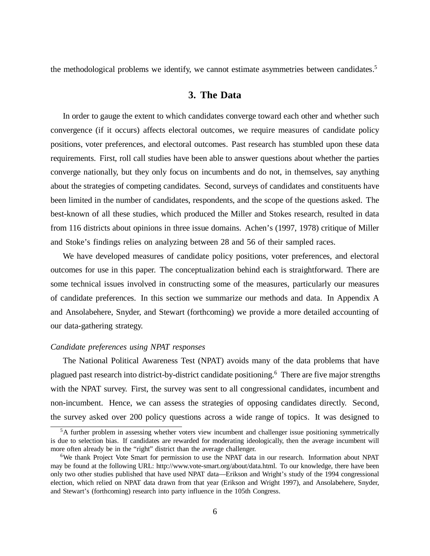the methodological problems we identify, we cannot estimate asymmetries between candidates.<sup>5</sup>

## **3. The Data**

In order to gauge the extent to which candidates converge toward each other and whether such convergence (if it occurs) affects electoral outcomes, we require measures of candidate policy positions, voter preferences, and electoral outcomes. Past research has stumbled upon these data requirements. First, roll call studies have been able to answer questions about whether the parties converge nationally, but they only focus on incumbents and do not, in themselves, say anything about the strategies of competing candidates. Second, surveys of candidates and constituents have been limited in the number of candidates, respondents, and the scope of the questions asked. The best-known of all these studies, which produced the Miller and Stokes research, resulted in data from 116 districts about opinions in three issue domains. Achen's (1997, 1978) critique of Miller and Stoke's findings relies on analyzing between 28 and 56 of their sampled races.

We have developed measures of candidate policy positions, voter preferences, and electoral outcomes for use in this paper. The conceptualization behind each is straightforward. There are some technical issues involved in constructing some of the measures, particularly our measures of candidate preferences. In this section we summarize our methods and data. In Appendix A and Ansolabehere, Snyder, and Stewart (forthcoming) we provide a more detailed accounting of our data-gathering strategy.

## *Candidate preferences using NPAT responses*

The National Political Awareness Test (NPAT) avoids many of the data problems that have plagued past research into district-by-district candidate positioning. <sup>6</sup> There are five major strengths with the NPAT survey. First, the survey was sent to all congressional candidates, incumbent and non-incumbent. Hence, we can assess the strategies of opposing candidates directly. Second, the survey asked over 200 policy questions across a wide range of topics. It was designed to

<sup>&</sup>lt;sup>5</sup>A further problem in assessing whether voters view incumbent and challenger issue positioning symmetrically is due to selection bias. If candidates are rewarded for moderating ideologically, then the average incumbent will more often already be in the "right" district than the average challenger.

<sup>6</sup>We thank Project Vote Smart for permission to use the NPAT data in our research. Information about NPAT may be found at the following URL: http://www.vote-smart.org/about/data.html. To our knowledge, there have been only two other studies published that have used NPAT data— Erikson and Wright's study of the 1994 congressional election, which relied on NPAT data drawn from that year (Erikson and Wright 1997), and Ansolabehere, Snyder, and Stewart's (forthcoming) research into party influence in the 105th Congress.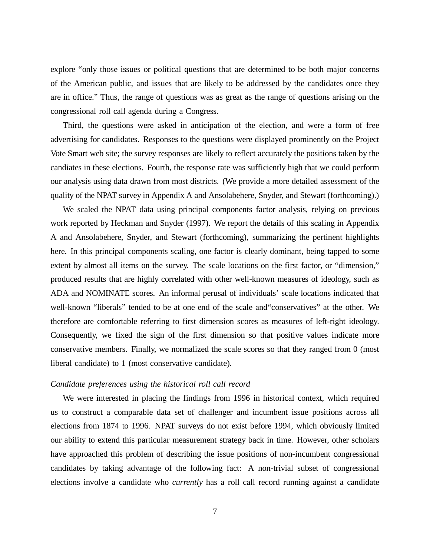explore "only those issues or political questions that are determined to be both major concerns of the American public, and issues that are likely to be addressed by the candidates once they are in office." Thus, the range of questions was as great as the range of questions arising on the congressional roll call agenda during a Congress.

Third, the questions were asked in anticipation of the election, and were a form of free advertising for candidates. Responses to the questions were displayed prominently on the Project Vote Smart web site; the survey responses are likely to reflect accurately the positions taken by the candiates in these elections. Fourth, the response rate was sufficiently high that we could perform our analysis using data drawn from most districts. (We provide a more detailed assessment of the quality of the NPAT survey in Appendix A and Ansolabehere, Snyder, and Stewart (forthcoming).)

We scaled the NPAT data using principal components factor analysis, relying on previous work reported by Heckman and Snyder (1997). We report the details of this scaling in Appendix A and Ansolabehere, Snyder, and Stewart (forthcoming), summarizing the pertinent highlights here. In this principal components scaling, one factor is clearly dominant, being tapped to some extent by almost all items on the survey. The scale locations on the first factor, or "dimension," produced results that are highly correlated with other well-known measures of ideology, such as ADA and NOMINATE scores. An informal perusal of individuals'scale locations indicated that well-known "liberals" tended to be at one end of the scale and"conservatives" at the other. We therefore are comfortable referring to first dimension scores as measures of left-right ideology. Consequently, we fixed the sign of the first dimension so that positive values indicate more conservative members. Finally, we normalized the scale scores so that they ranged from 0 (most liberal candidate) to 1 (most conservative candidate).

### *Candidate preferences using the historical roll call record*

We were interested in placing the findings from 1996 in historical context, which required us to construct a comparable data set of challenger and incumbent issue positions across all elections from 1874 to 1996. NPAT surveys do not exist before 1994, which obviously limited our ability to extend this particular measurement strategy back in time. However, other scholars have approached this problem of describing the issue positions of non-incumbent congressional candidates by taking advantage of the following fact: A non-trivial subset of congressional elections involve a candidate who *currently* has a roll call record running against a candidate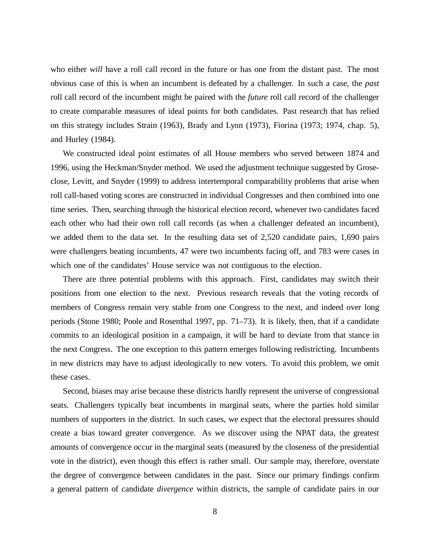who either *will* have a roll call record in the future or has one from the distant past. The most obvious case of this is when an incumbent is defeated by a challenger. In such a case, the *past* roll call record of the incumbent might be paired with the *future* roll call record of the challenger to create comparable measures of ideal points for both candidates. Past research that has relied on this strategy includes Strain (1963), Brady and Lynn (1973), Fiorina (1973; 1974, chap. 5), and Hurley (1984).

We constructed ideal point estimates of all House members who served between 1874 and 1996, using the Heckman/Snyder method. We used the adjustment technique suggested by Groseclose, Levitt, and Snyder (1999) to address intertemporal comparability problems that arise when roll call-based voting scores are constructed in individual Congresses and then combined into one time series. Then, searching through the historical election record, whenever two candidates faced each other who had their own roll call records (as when a challenger defeated an incumbent), we added them to the data set. In the resulting data set of 2,520 candidate pairs, 1,690 pairs were challengers beating incumbents, 47 were two incumbents facing off, and 783 were cases in which one of the candidates' House service was not contiguous to the election.

There are three potential problems with this approach. First, candidates may switch their positions from one election to the next. Previous research reveals that the voting records of members of Congress remain very stable from one Congress to the next, and indeed over long periods (Stone 1980; Poole and Rosenthal 1997, pp. 71–73). It is likely, then, that if a candidate commits to an ideological position in a campaign, it will be hard to deviate from that stance in the next Congress. The one exception to this pattern emerges following redistricting. Incumbents in new districts may have to adjust ideologically to new voters. To avoid this problem, we omit these cases.

Second, biases may arise because these districts hardly represent the universe of congressional seats. Challengers typically beat incumbents in marginal seats, where the parties hold similar numbers of supporters in the district. In such cases, we expect that the electoral pressures should create a bias toward greater convergence. As we discover using the NPAT data, the greatest amounts of convergence occur in the marginal seats (measured by the closeness of the presidential vote in the district), even though this effect is rather small. Our sample may, therefore, overstate the degree of convergence between candidates in the past. Since our primary findings confirm a general pattern of candidate *divergence* within districts, the sample of candidate pairs in our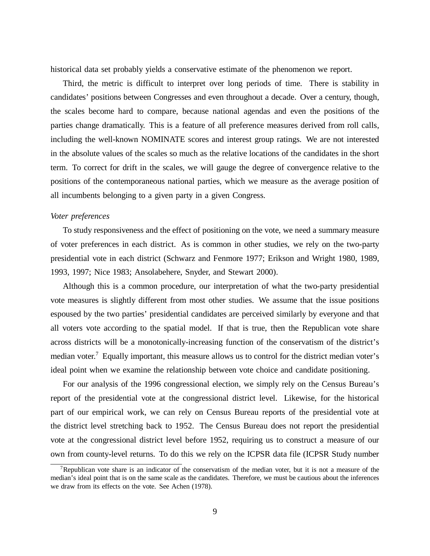historical data set probably yields a conservative estimate of the phenomenon we report.

Third, the metric is difficult to interpret over long periods of time. There is stability in candidates'positions between Congresses and even throughout a decade. Over a century, though, the scales become hard to compare, because national agendas and even the positions of the parties change dramatically. This is a feature of all preference measures derived from roll calls, including the well-known NOMINATE scores and interest group ratings. We are not interested in the absolute values of the scales so much as the relative locations of the candidates in the short term. To correct for drift in the scales, we will gauge the degree of convergence relative to the positions of the contemporaneous national parties, which we measure as the average position of all incumbents belonging to a given party in a given Congress.

#### *Voter preferences*

To study responsiveness and the effect of positioning on the vote, we need a summary measure of voter preferences in each district. As is common in other studies, we rely on the two-party presidential vote in each district (Schwarz and Fenmore 1977; Erikson and Wright 1980, 1989, 1993, 1997; Nice 1983; Ansolabehere, Snyder, and Stewart 2000).

Although this is a common procedure, our interpretation of what the two-party presidential vote measures is slightly different from most other studies. We assume that the issue positions espoused by the two parties' presidential candidates are perceived similarly by everyone and that all voters vote according to the spatial model. If that is true, then the Republican vote share across districts will be a monotonically-increasing function of the conservatism of the district's median voter.<sup>7</sup> Equally important, this measure allows us to control for the district median voter's ideal point when we examine the relationship between vote choice and candidate positioning.

For our analysis of the 1996 congressional election, we simply rely on the Census Bureau's report of the presidential vote at the congressional district level. Likewise, for the historical part of our empirical work, we can rely on Census Bureau reports of the presidential vote at the district level stretching back to 1952. The Census Bureau does not report the presidential vote at the congressional district level before 1952, requiring us to construct a measure of our own from county-level returns. To do this we rely on the ICPSR data file (ICPSR Study number

<sup>&</sup>lt;sup>7</sup>Republican vote share is an indicator of the conservatism of the median voter, but it is not a measure of the median's ideal point that is on the same scale as the candidates. Therefore, we must be cautious about the inferences we draw from its effects on the vote. See Achen (1978).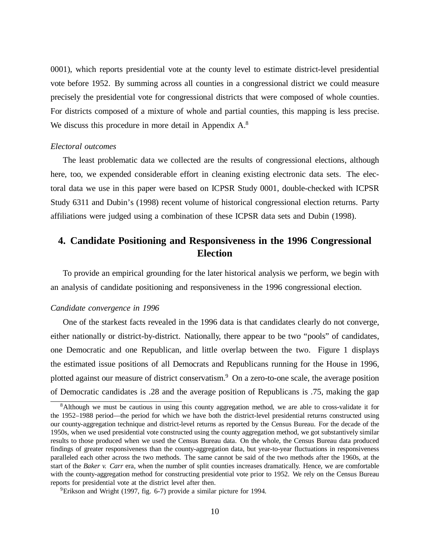0001), which reports presidential vote at the county level to estimate district-level presidential vote before 1952. By summing across all counties in a congressional district we could measure precisely the presidential vote for congressional districts that were composed of whole counties. For districts composed of a mixture of whole and partial counties, this mapping is less precise. We discuss this procedure in more detail in Appendix A.<sup>8</sup>

### *Electoral outcomes*

The least problematic data we collected are the results of congressional elections, although here, too, we expended considerable effort in cleaning existing electronic data sets. The electoral data we use in this paper were based on ICPSR Study 0001, double-checked with ICPSR Study 6311 and Dubin's (1998) recent volume of historical congressional election returns. Party affiliations were judged using a combination of these ICPSR data sets and Dubin (1998).

# **4. Candidate Positioning and Responsiveness in the 1996 Congressional Election**

To provide an empirical grounding for the later historical analysis we perform, we begin with an analysis of candidate positioning and responsiveness in the 1996 congressional election.

#### *Candidate convergence in 1996*

One of the starkest facts revealed in the 1996 data is that candidates clearly do not converge, either nationally or district-by-district. Nationally, there appear to be two "pools" of candidates, one Democratic and one Republican, and little overlap between the two. Figure 1 displays the estimated issue positions of all Democrats and Republicans running for the House in 1996, plotted against our measure of district conservatism.<sup>9</sup> On a zero-to-one scale, the average position of Democratic candidates is .28 and the average position of Republicans is .75, making the gap

<sup>8</sup>Although we must be cautious in using this county aggregation method, we are able to cross-validate it for the 1952–1988 period— the period for which we have both the district-level presidential returns constructed using our county-aggregation technique and district-level returns as reported by the Census Bureau. For the decade of the 1950s, when we used presidential vote constructed using the county aggregation method, we got substantively similar results to those produced when we used the Census Bureau data. On the whole, the Census Bureau data produced findings of greater responsiveness than the county-aggregation data, but year-to-year fluctuations in responsiveness paralleled each other across the two methods. The same cannot be said of the two methods after the 1960s, at the start of the *Baker v. Carr* era, when the number of split counties increases dramatically. Hence, we are comfortable with the county-aggregation method for constructing presidential vote prior to 1952. We rely on the Census Bureau reports for presidential vote at the district level after then.

<sup>9</sup>Erikson and Wright (1997, fig. 6-7) provide a similar picture for 1994.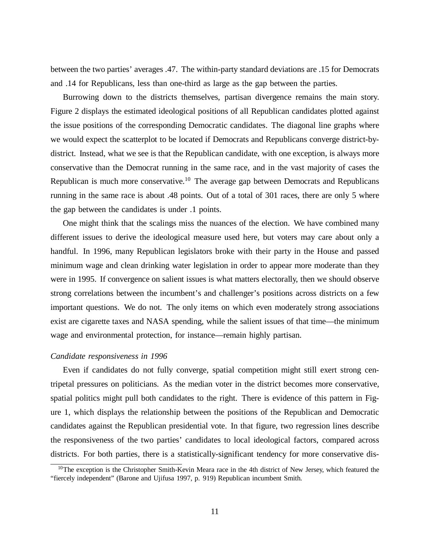between the two parties'averages .47. The within-party standard deviations are .15 for Democrats and .14 for Republicans, less than one-third as large as the gap between the parties.

Burrowing down to the districts themselves, partisan divergence remains the main story. Figure 2 displays the estimated ideological positions of all Republican candidates plotted against the issue positions of the corresponding Democratic candidates. The diagonal line graphs where we would expect the scatterplot to be located if Democrats and Republicans converge district-bydistrict. Instead, what we see is that the Republican candidate, with one exception, is always more conservative than the Democrat running in the same race, and in the vast majority of cases the Republican is much more conservative.<sup>10</sup> The average gap between Democrats and Republicans running in the same race is about .48 points. Out of a total of 301 races, there are only 5 where the gap between the candidates is under .1 points.

One might think that the scalings miss the nuances of the election. We have combined many different issues to derive the ideological measure used here, but voters may care about only a handful. In 1996, many Republican legislators broke with their party in the House and passed minimum wage and clean drinking water legislation in order to appear more moderate than they were in 1995. If convergence on salient issues is what matters electorally, then we should observe strong correlations between the incumbent's and challenger's positions across districts on a few important questions. We do not. The only items on which even moderately strong associations exist are cigarette taxes and NASA spending, while the salient issues of that time— the minimum wage and environmental protection, for instance— remain highly partisan.

#### *Candidate responsiveness in 1996*

Even if candidates do not fully converge, spatial competition might still exert strong centripetal pressures on politicians. As the median voter in the district becomes more conservative, spatial politics might pull both candidates to the right. There is evidence of this pattern in Figure 1, which displays the relationship between the positions of the Republican and Democratic candidates against the Republican presidential vote. In that figure, two regression lines describe the responsiveness of the two parties' candidates to local ideological factors, compared across districts. For both parties, there is a statistically-significant tendency for more conservative dis-

<sup>&</sup>lt;sup>10</sup>The exception is the Christopher Smith-Kevin Meara race in the 4th district of New Jersey, which featured the "fiercely independent" (Barone and Ujifusa 1997, p. 919) Republican incumbent Smith.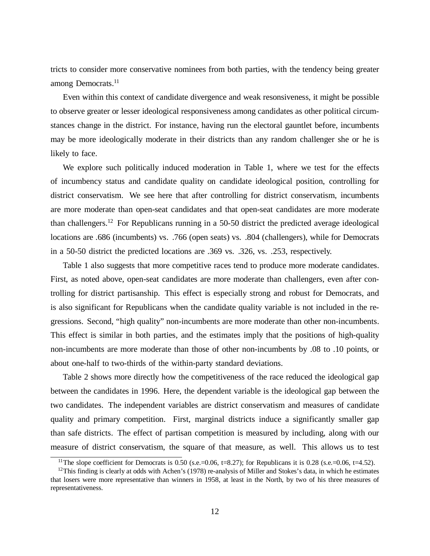tricts to consider more conservative nominees from both parties, with the tendency being greater among Democrats. 11

Even within this context of candidate divergence and weak resonsiveness, it might be possible to observe greater or lesser ideological responsiveness among candidates as other political circumstances change in the district. For instance, having run the electoral gauntlet before, incumbents may be more ideologically moderate in their districts than any random challenger she or he is likely to face.

We explore such politically induced moderation in Table 1, where we test for the effects of incumbency status and candidate quality on candidate ideological position, controlling for district conservatism. We see here that after controlling for district conservatism, incumbents are more moderate than open-seat candidates and that open-seat candidates are more moderate than challengers. <sup>12</sup> For Republicans running in a 50-50 district the predicted average ideological locations are .686 (incumbents) vs. .766 (open seats) vs. .804 (challengers), while for Democrats in a 50-50 district the predicted locations are .369 vs. .326, vs. .253, respectively.

Table 1 also suggests that more competitive races tend to produce more moderate candidates. First, as noted above, open-seat candidates are more moderate than challengers, even after controlling for district partisanship. This effect is especially strong and robust for Democrats, and is also significant for Republicans when the candidate quality variable is not included in the regressions. Second, "high quality" non-incumbents are more moderate than other non-incumbents. This effect is similar in both parties, and the estimates imply that the positions of high-quality non-incumbents are more moderate than those of other non-incumbents by .08 to .10 points, or about one-half to two-thirds of the within-party standard deviations.

Table 2 shows more directly how the competitiveness of the race reduced the ideological gap between the candidates in 1996. Here, the dependent variable is the ideological gap between the two candidates. The independent variables are district conservatism and measures of candidate quality and primary competition. First, marginal districts induce a significantly smaller gap than safe districts. The effect of partisan competition is measured by including, along with our measure of district conservatism, the square of that measure, as well. This allows us to test

<sup>&</sup>lt;sup>11</sup>The slope coefficient for Democrats is 0.50 (s.e.=0.06, t=8.27); for Republicans it is 0.28 (s.e.=0.06, t=4.52).

 $12$ This finding is clearly at odds with Achen's (1978) re-analysis of Miller and Stokes's data, in which he estimates that losers were more representative than winners in 1958, at least in the North, by two of his three measures of representativeness.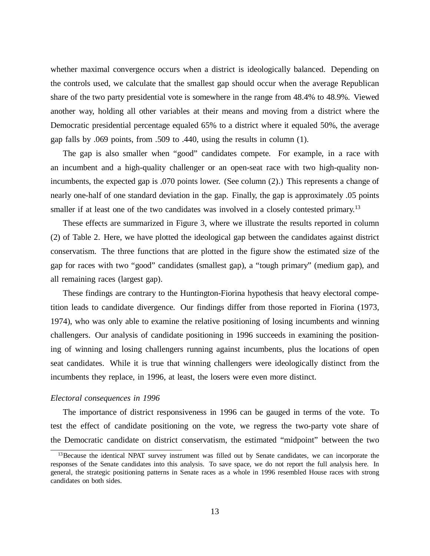whether maximal convergence occurs when a district is ideologically balanced. Depending on the controls used, we calculate that the smallest gap should occur when the average Republican share of the two party presidential vote is somewhere in the range from 48.4% to 48.9%. Viewed another way, holding all other variables at their means and moving from a district where the Democratic presidential percentage equaled 65% to a district where it equaled 50%, the average gap falls by .069 points, from .509 to .440, using the results in column (1).

The gap is also smaller when "good" candidates compete. For example, in a race with an incumbent and a high-quality challenger or an open-seat race with two high-quality nonincumbents, the expected gap is .070 points lower. (See column (2).) This represents a change of nearly one-half of one standard deviation in the gap. Finally, the gap is approximately .05 points smaller if at least one of the two candidates was involved in a closely contested primary.<sup>13</sup>

These effects are summarized in Figure 3, where we illustrate the results reported in column (2) of Table 2. Here, we have plotted the ideological gap between the candidates against district conservatism. The three functions that are plotted in the figure show the estimated size of the gap for races with two "good" candidates (smallest gap), a "tough primary" (medium gap), and all remaining races (largest gap).

These findings are contrary to the Huntington-Fiorina hypothesis that heavy electoral competition leads to candidate divergence. Our findings differ from those reported in Fiorina (1973, 1974), who was only able to examine the relative positioning of losing incumbents and winning challengers. Our analysis of candidate positioning in 1996 succeeds in examining the positioning of winning and losing challengers running against incumbents, plus the locations of open seat candidates. While it is true that winning challengers were ideologically distinct from the incumbents they replace, in 1996, at least, the losers were even more distinct.

#### *Electoral consequences in 1996*

The importance of district responsiveness in 1996 can be gauged in terms of the vote. To test the effect of candidate positioning on the vote, we regress the two-party vote share of the Democratic candidate on district conservatism, the estimated "midpoint" between the two

<sup>&</sup>lt;sup>13</sup>Because the identical NPAT survey instrument was filled out by Senate candidates, we can incorporate the responses of the Senate candidates into this analysis. To save space, we do not report the full analysis here. In general, the strategic positioning patterns in Senate races as a whole in 1996 resembled House races with strong candidates on both sides.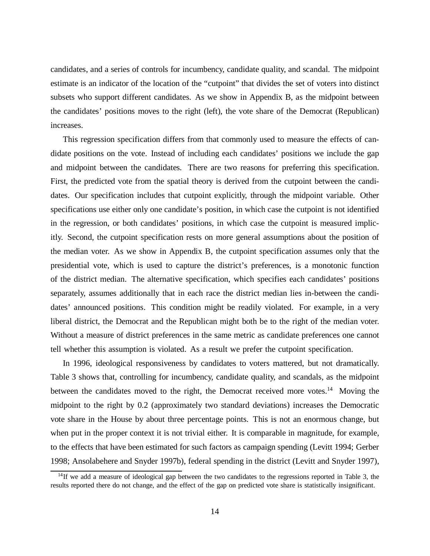candidates, and a series of controls for incumbency, candidate quality, and scandal. The midpoint estimate is an indicator of the location of the "cutpoint" that divides the set of voters into distinct subsets who support different candidates. As we show in Appendix B, as the midpoint between the candidates'positions moves to the right (left), the vote share of the Democrat (Republican) increases.

This regression specification differs from that commonly used to measure the effects of candidate positions on the vote. Instead of including each candidates'positions we include the gap and midpoint between the candidates. There are two reasons for preferring this specification. First, the predicted vote from the spatial theory is derived from the cutpoint between the candidates. Our specification includes that cutpoint explicitly, through the midpoint variable. Other specifications use either only one candidate's position, in which case the cutpoint is not identified in the regression, or both candidates' positions, in which case the cutpoint is measured implicitly. Second, the cutpoint specification rests on more general assumptions about the position of the median voter. As we show in Appendix B, the cutpoint specification assumes only that the presidential vote, which is used to capture the district's preferences, is a monotonic function of the district median. The alternative specification, which specifies each candidates'positions separately, assumes additionally that in each race the district median lies in-between the candidates' announced positions. This condition might be readily violated. For example, in a very liberal district, the Democrat and the Republican might both be to the right of the median voter. Without a measure of district preferences in the same metric as candidate preferences one cannot tell whether this assumption is violated. As a result we prefer the cutpoint specification.

In 1996, ideological responsiveness by candidates to voters mattered, but not dramatically. Table 3 shows that, controlling for incumbency, candidate quality, and scandals, as the midpoint between the candidates moved to the right, the Democrat received more votes.<sup>14</sup> Moving the midpoint to the right by 0.2 (approximately two standard deviations) increases the Democratic vote share in the House by about three percentage points. This is not an enormous change, but when put in the proper context it is not trivial either. It is comparable in magnitude, for example, to the effects that have been estimated for such factors as campaign spending (Levitt 1994; Gerber 1998; Ansolabehere and Snyder 1997b), federal spending in the district (Levitt and Snyder 1997),

 $14$ If we add a measure of ideological gap between the two candidates to the regressions reported in Table 3, the results reported there do not change, and the effect of the gap on predicted vote share is statistically insignificant.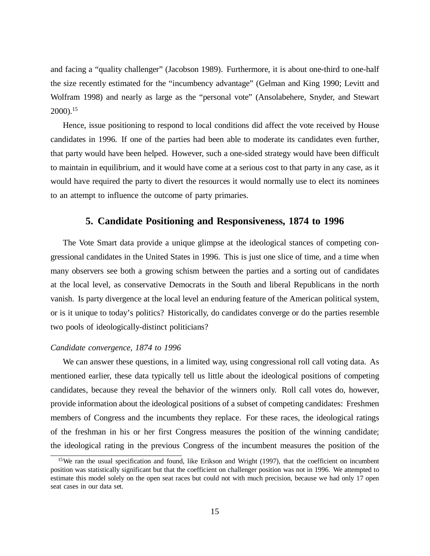and facing a "quality challenger" (Jacobson 1989). Furthermore, it is about one-third to one-half the size recently estimated for the "incumbency advantage" (Gelman and King 1990; Levitt and Wolfram 1998) and nearly as large as the "personal vote" (Ansolabehere, Snyder, and Stewart 2000). 15

Hence, issue positioning to respond to local conditions did affect the vote received by House candidates in 1996. If one of the parties had been able to moderate its candidates even further, that party would have been helped. However, such a one-sided strategy would have been difficult to maintain in equilibrium, and it would have come at a serious cost to that party in any case, as it would have required the party to divert the resources it would normally use to elect its nominees to an attempt to influence the outcome of party primaries.

# **5. Candidate Positioning and Responsiveness, 1874 to 1996**

The Vote Smart data provide a unique glimpse at the ideological stances of competing congressional candidates in the United States in 1996. This is just one slice of time, and a time when many observers see both a growing schism between the parties and a sorting out of candidates at the local level, as conservative Democrats in the South and liberal Republicans in the north vanish. Is party divergence at the local level an enduring feature of the American political system, or is it unique to today's politics? Historically, do candidates converge or do the parties resemble two pools of ideologically-distinct politicians?

# *Candidate convergence, 1874 to 1996*

We can answer these questions, in a limited way, using congressional roll call voting data. As mentioned earlier, these data typically tell us little about the ideological positions of competing candidates, because they reveal the behavior of the winners only. Roll call votes do, however, provide information about the ideological positions of a subset of competing candidates: Freshmen members of Congress and the incumbents they replace. For these races, the ideological ratings of the freshman in his or her first Congress measures the position of the winning candidate; the ideological rating in the previous Congress of the incumbent measures the position of the

<sup>&</sup>lt;sup>15</sup>We ran the usual specification and found, like Erikson and Wright (1997), that the coefficient on incumbent position was statistically significant but that the coefficient on challenger position was not in 1996. We attempted to estimate this model solely on the open seat races but could not with much precision, because we had only 17 open seat cases in our data set.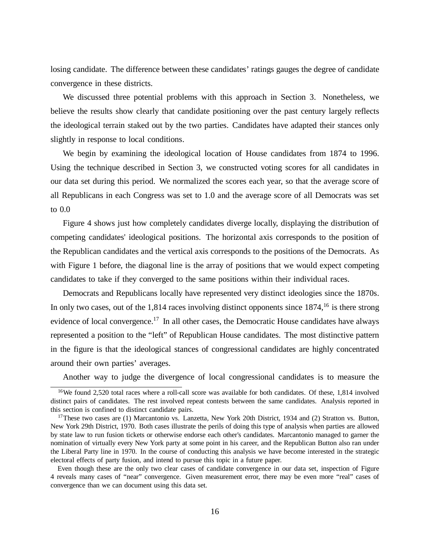losing candidate. The difference between these candidates'ratings gauges the degree of candidate convergence in these districts.

We discussed three potential problems with this approach in Section 3. Nonetheless, we believe the results show clearly that candidate positioning over the past century largely reflects the ideological terrain staked out by the two parties. Candidates have adapted their stances only slightly in response to local conditions.

We begin by examining the ideological location of House candidates from 1874 to 1996. Using the technique described in Section 3, we constructed voting scores for all candidates in our data set during this period. We normalized the scores each year, so that the average score of all Republicans in each Congress was set to 1.0 and the average score of all Democrats was set to 0.0

Figure 4 shows just how completely candidates diverge locally, displaying the distribution of competing candidates' ideological positions. The horizontal axis corresponds to the position of the Republican candidates and the vertical axis corresponds to the positions of the Democrats. As with Figure 1 before, the diagonal line is the array of positions that we would expect competing candidates to take if they converged to the same positions within their individual races.

Democrats and Republicans locally have represented very distinct ideologies since the 1870s. In only two cases, out of the  $1,814$  races involving distinct opponents since  $1874$ ,<sup>16</sup> is there strong evidence of local convergence.<sup>17</sup> In all other cases, the Democratic House candidates have always represented a position to the "left" of Republican House candidates. The most distinctive pattern in the figure is that the ideological stances of congressional candidates are highly concentrated around their own parties'averages.

Another way to judge the divergence of local congressional candidates is to measure the

<sup>&</sup>lt;sup>16</sup>We found 2,520 total races where a roll-call score was available for both candidates. Of these, 1,814 involved distinct pairs of candidates. The rest involved repeat contests between the same candidates. Analysis reported in this section is confined to distinct candidate pairs.

<sup>&</sup>lt;sup>17</sup>These two cases are (1) Marcantonio vs. Lanzetta, New York 20th District, 1934 and (2) Stratton vs. Button, New York 29th District, 1970. Both cases illustrate the perils of doing this type of analysis when parties are allowed by state law to run fusion tickets or otherwise endorse each other's candidates. Marcantonio managed to garner the nomination of virtually every New York party at some point in his career, and the Republican Button also ran under the Liberal Party line in 1970. In the course of conducting this analysis we have become interested in the strategic electoral effects of party fusion, and intend to pursue this topic in a future paper.

Even though these are the only two clear cases of candidate convergence in our data set, inspection of Figure 4 reveals many cases of "near" convergence. Given measurement error, there may be even more "real" cases of convergence than we can document using this data set.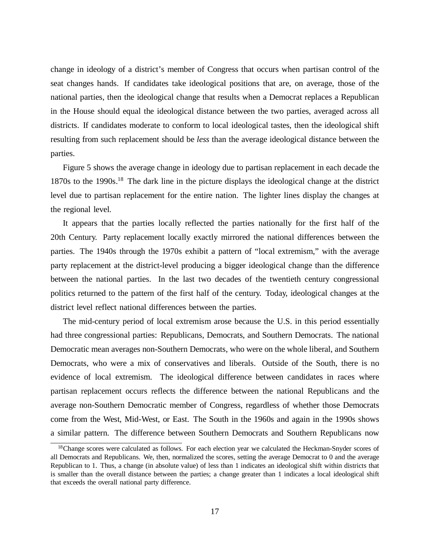change in ideology of a district's member of Congress that occurs when partisan control of the seat changes hands. If candidates take ideological positions that are, on average, those of the national parties, then the ideological change that results when a Democrat replaces a Republican in the House should equal the ideological distance between the two parties, averaged across all districts. If candidates moderate to conform to local ideological tastes, then the ideological shift resulting from such replacement should be *less* than the average ideological distance between the parties.

Figure 5 shows the average change in ideology due to partisan replacement in each decade the 1870s to the 1990s. <sup>18</sup> The dark line in the picture displays the ideological change at the district level due to partisan replacement for the entire nation. The lighter lines display the changes at the regional level.

It appears that the parties locally reflected the parties nationally for the first half of the 20th Century. Party replacement locally exactly mirrored the national differences between the parties. The 1940s through the 1970s exhibit a pattern of "local extremism," with the average party replacement at the district-level producing a bigger ideological change than the difference between the national parties. In the last two decades of the twentieth century congressional politics returned to the pattern of the first half of the century. Today, ideological changes at the district level reflect national differences between the parties.

The mid-century period of local extremism arose because the U.S. in this period essentially had three congressional parties: Republicans, Democrats, and Southern Democrats. The national Democratic mean averages non-Southern Democrats, who were on the whole liberal, and Southern Democrats, who were a mix of conservatives and liberals. Outside of the South, there is no evidence of local extremism. The ideological difference between candidates in races where partisan replacement occurs reflects the difference between the national Republicans and the average non-Southern Democratic member of Congress, regardless of whether those Democrats come from the West, Mid-West, or East. The South in the 1960s and again in the 1990s shows a similar pattern. The difference between Southern Democrats and Southern Republicans now

<sup>&</sup>lt;sup>18</sup>Change scores were calculated as follows. For each election year we calculated the Heckman-Snyder scores of all Democrats and Republicans. We, then, normalized the scores, setting the average Democrat to 0 and the average Republican to 1. Thus, a change (in absolute value) of less than 1 indicates an ideological shift within districts that is smaller than the overall distance between the parties; a change greater than 1 indicates a local ideological shift that exceeds the overall national party difference.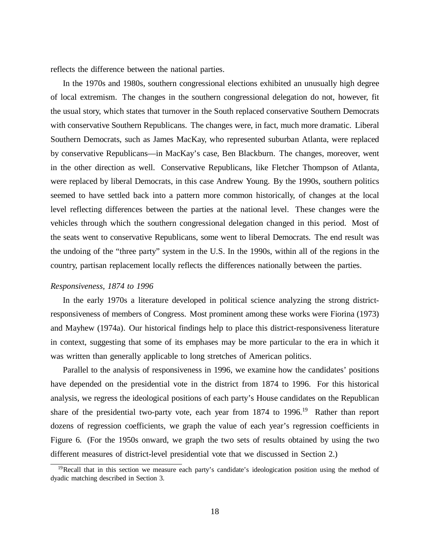reflects the difference between the national parties.

In the 1970s and 1980s, southern congressional elections exhibited an unusually high degree of local extremism. The changes in the southern congressional delegation do not, however, fit the usual story, which states that turnover in the South replaced conservative Southern Democrats with conservative Southern Republicans. The changes were, in fact, much more dramatic. Liberal Southern Democrats, such as James MacKay, who represented suburban Atlanta, were replaced by conservative Republicans— in MacKay's case, Ben Blackburn. The changes, moreover, went in the other direction as well. Conservative Republicans, like Fletcher Thompson of Atlanta, were replaced by liberal Democrats, in this case Andrew Young. By the 1990s, southern politics seemed to have settled back into a pattern more common historically, of changes at the local level reflecting differences between the parties at the national level. These changes were the vehicles through which the southern congressional delegation changed in this period. Most of the seats went to conservative Republicans, some went to liberal Democrats. The end result was the undoing of the "three party" system in the U.S. In the 1990s, within all of the regions in the country, partisan replacement locally reflects the differences nationally between the parties.

# *Responsiveness, 1874 to 1996*

In the early 1970s a literature developed in political science analyzing the strong districtresponsiveness of members of Congress. Most prominent among these works were Fiorina (1973) and Mayhew (1974a). Our historical findings help to place this district-responsiveness literature in context, suggesting that some of its emphases may be more particular to the era in which it was written than generally applicable to long stretches of American politics.

Parallel to the analysis of responsiveness in 1996, we examine how the candidates' positions have depended on the presidential vote in the district from 1874 to 1996. For this historical analysis, we regress the ideological positions of each party's House candidates on the Republican share of the presidential two-party vote, each year from 1874 to 1996.<sup>19</sup> Rather than report dozens of regression coefficients, we graph the value of each year's regression coefficients in Figure 6. (For the 1950s onward, we graph the two sets of results obtained by using the two different measures of district-level presidential vote that we discussed in Section 2.)

<sup>&</sup>lt;sup>19</sup>Recall that in this section we measure each party's candidate's ideologication position using the method of dyadic matching described in Section 3.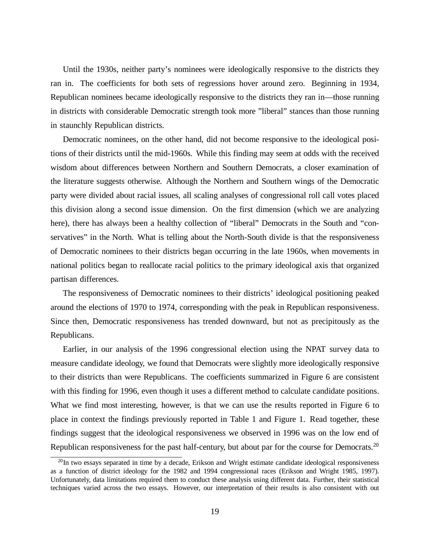Until the 1930s, neither party's nominees were ideologically responsive to the districts they ran in. The coefficients for both sets of regressions hover around zero. Beginning in 1934, Republican nominees became ideologically responsive to the districts they ran in— those running in districts with considerable Democratic strength took more "liberal" stances than those running in staunchly Republican districts.

Democratic nominees, on the other hand, did not become responsive to the ideological positions of their districts until the mid-1960s. While this finding may seem at odds with the received wisdom about differences between Northern and Southern Democrats, a closer examination of the literature suggests otherwise. Although the Northern and Southern wings of the Democratic party were divided about racial issues, all scaling analyses of congressional roll call votes placed this division along a second issue dimension. On the first dimension (which we are analyzing here), there has always been a healthy collection of "liberal" Democrats in the South and "conservatives" in the North. What is telling about the North-South divide is that the responsiveness of Democratic nominees to their districts began occurring in the late 1960s, when movements in national politics began to reallocate racial politics to the primary ideological axis that organized partisan differences.

The responsiveness of Democratic nominees to their districts'ideological positioning peaked around the elections of 1970 to 1974, corresponding with the peak in Republican responsiveness. Since then, Democratic responsiveness has trended downward, but not as precipitously as the Republicans.

Earlier, in our analysis of the 1996 congressional election using the NPAT survey data to measure candidate ideology, we found that Democrats were slightly more ideologically responsive to their districts than were Republicans. The coefficients summarized in Figure 6 are consistent with this finding for 1996, even though it uses a different method to calculate candidate positions. What we find most interesting, however, is that we can use the results reported in Figure 6 to place in context the findings previously reported in Table 1 and Figure 1. Read together, these findings suggest that the ideological responsiveness we observed in 1996 was on the low end of Republican responsiveness for the past half-century, but about par for the course for Democrats.<sup>20</sup>

<sup>&</sup>lt;sup>20</sup>In two essays separated in time by a decade, Erikson and Wright estimate candidate ideological responsiveness as a function of district ideology for the 1982 and 1994 congressional races (Erikson and Wright 1985, 1997). Unfortunately, data limitations required them to conduct these analysis using different data. Further, their statistical techniques varied across the two essays. However, our interpretation of their results is also consistent with out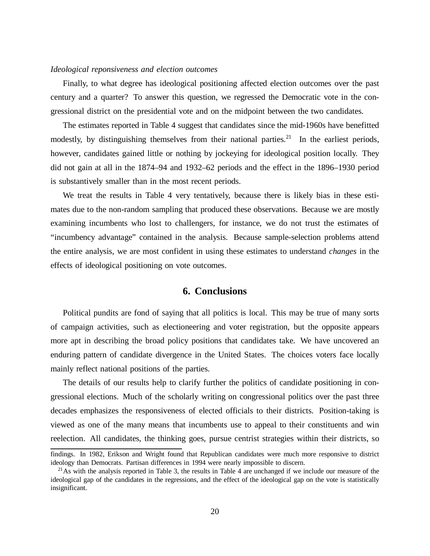### *Ideological reponsiveness and election outcomes*

Finally, to what degree has ideological positioning affected election outcomes over the past century and a quarter? To answer this question, we regressed the Democratic vote in the congressional district on the presidential vote and on the midpoint between the two candidates.

The estimates reported in Table 4 suggest that candidates since the mid-1960s have benefitted modestly, by distinguishing themselves from their national parties.<sup>21</sup> In the earliest periods, however, candidates gained little or nothing by jockeying for ideological position locally. They did not gain at all in the 1874–94 and 1932–62 periods and the effect in the 1896–1930 period is substantively smaller than in the most recent periods.

We treat the results in Table 4 very tentatively, because there is likely bias in these estimates due to the non-random sampling that produced these observations. Because we are mostly examining incumbents who lost to challengers, for instance, we do not trust the estimates of "incumbency advantage" contained in the analysis. Because sample-selection problems attend the entire analysis, we are most confident in using these estimates to understand *changes* in the effects of ideological positioning on vote outcomes.

# **6. Conclusions**

Political pundits are fond of saying that all politics is local. This may be true of many sorts of campaign activities, such as electioneering and voter registration, but the opposite appears more apt in describing the broad policy positions that candidates take. We have uncovered an enduring pattern of candidate divergence in the United States. The choices voters face locally mainly reflect national positions of the parties.

The details of our results help to clarify further the politics of candidate positioning in congressional elections. Much of the scholarly writing on congressional politics over the past three decades emphasizes the responsiveness of elected officials to their districts. Position-taking is viewed as one of the many means that incumbents use to appeal to their constituents and win reelection. All candidates, the thinking goes, pursue centrist strategies within their districts, so

findings. In 1982, Erikson and Wright found that Republican candidates were much more responsive to district ideology than Democrats. Partisan differences in 1994 were nearly impossible to discern.

 $21$ As with the analysis reported in Table 3, the results in Table 4 are unchanged if we include our measure of the ideological gap of the candidates in the regressions, and the effect of the ideological gap on the vote is statistically insignificant.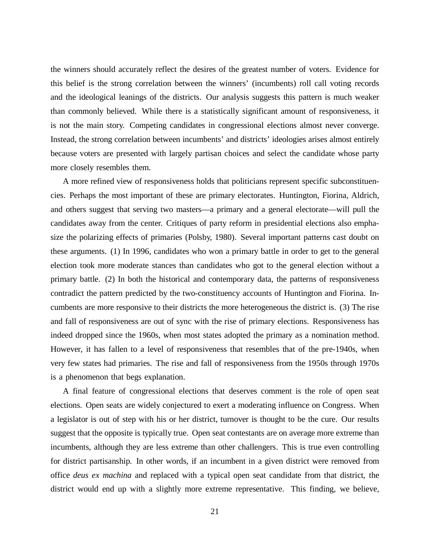the winners should accurately reflect the desires of the greatest number of voters. Evidence for this belief is the strong correlation between the winners' (incumbents) roll call voting records and the ideological leanings of the districts. Our analysis suggests this pattern is much weaker than commonly believed. While there is a statistically significant amount of responsiveness, it is not the main story. Competing candidates in congressional elections almost never converge. Instead, the strong correlation between incumbents'and districts'ideologies arises almost entirely because voters are presented with largely partisan choices and select the candidate whose party more closely resembles them.

A more refined view of responsiveness holds that politicians represent specific subconstituencies. Perhaps the most important of these are primary electorates. Huntington, Fiorina, Aldrich, and others suggest that serving two masters— a primary and a general electorate— will pull the candidates away from the center. Critiques of party reform in presidential elections also emphasize the polarizing effects of primaries (Polsby, 1980). Several important patterns cast doubt on these arguments. (1) In 1996, candidates who won a primary battle in order to get to the general election took more moderate stances than candidates who got to the general election without a primary battle. (2) In both the historical and contemporary data, the patterns of responsiveness contradict the pattern predicted by the two-constituency accounts of Huntington and Fiorina. Incumbents are more responsive to their districts the more heterogeneous the district is. (3) The rise and fall of responsiveness are out of sync with the rise of primary elections. Responsiveness has indeed dropped since the 1960s, when most states adopted the primary as a nomination method. However, it has fallen to a level of responsiveness that resembles that of the pre-1940s, when very few states had primaries. The rise and fall of responsiveness from the 1950s through 1970s is a phenomenon that begs explanation.

A final feature of congressional elections that deserves comment is the role of open seat elections. Open seats are widely conjectured to exert a moderating influence on Congress. When a legislator is out of step with his or her district, turnover is thought to be the cure. Our results suggest that the opposite is typically true. Open seat contestants are on average more extreme than incumbents, although they are less extreme than other challengers. This is true even controlling for district partisanship. In other words, if an incumbent in a given district were removed from office *deus ex machina* and replaced with a typical open seat candidate from that district, the district would end up with a slightly more extreme representative. This finding, we believe,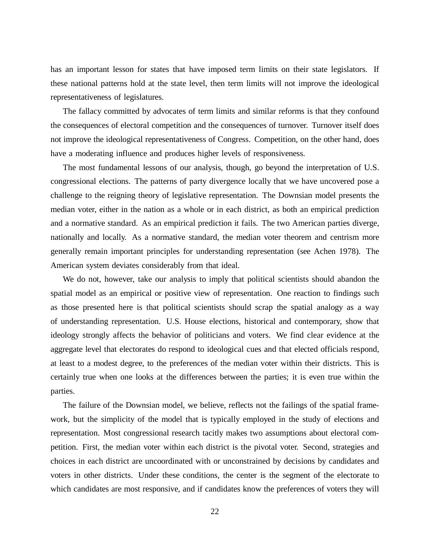has an important lesson for states that have imposed term limits on their state legislators. If these national patterns hold at the state level, then term limits will not improve the ideological representativeness of legislatures.

The fallacy committed by advocates of term limits and similar reforms is that they confound the consequences of electoral competition and the consequences of turnover. Turnover itself does not improve the ideological representativeness of Congress. Competition, on the other hand, does have a moderating influence and produces higher levels of responsiveness.

The most fundamental lessons of our analysis, though, go beyond the interpretation of U.S. congressional elections. The patterns of party divergence locally that we have uncovered pose a challenge to the reigning theory of legislative representation. The Downsian model presents the median voter, either in the nation as a whole or in each district, as both an empirical prediction and a normative standard. As an empirical prediction it fails. The two American parties diverge, nationally and locally. As a normative standard, the median voter theorem and centrism more generally remain important principles for understanding representation (see Achen 1978). The American system deviates considerably from that ideal.

We do not, however, take our analysis to imply that political scientists should abandon the spatial model as an empirical or positive view of representation. One reaction to findings such as those presented here is that political scientists should scrap the spatial analogy as a way of understanding representation. U.S. House elections, historical and contemporary, show that ideology strongly affects the behavior of politicians and voters. We find clear evidence at the aggregate level that electorates do respond to ideological cues and that elected officials respond, at least to a modest degree, to the preferences of the median voter within their districts. This is certainly true when one looks at the differences between the parties; it is even true within the parties.

The failure of the Downsian model, we believe, reflects not the failings of the spatial framework, but the simplicity of the model that is typically employed in the study of elections and representation. Most congressional research tacitly makes two assumptions about electoral competition. First, the median voter within each district is the pivotal voter. Second, strategies and choices in each district are uncoordinated with or unconstrained by decisions by candidates and voters in other districts. Under these conditions, the center is the segment of the electorate to which candidates are most responsive, and if candidates know the preferences of voters they will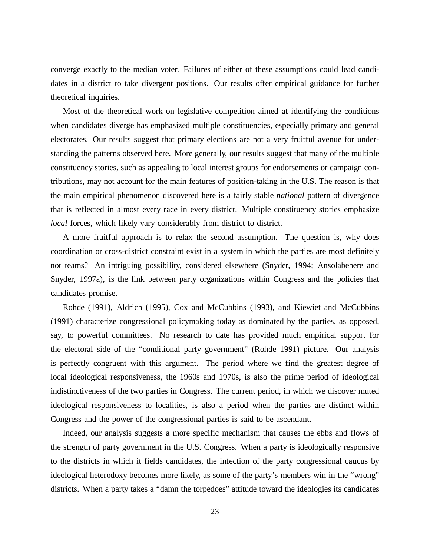converge exactly to the median voter. Failures of either of these assumptions could lead candidates in a district to take divergent positions. Our results offer empirical guidance for further theoretical inquiries.

Most of the theoretical work on legislative competition aimed at identifying the conditions when candidates diverge has emphasized multiple constituencies, especially primary and general electorates. Our results suggest that primary elections are not a very fruitful avenue for understanding the patterns observed here. More generally, our results suggest that many of the multiple constituency stories, such as appealing to local interest groups for endorsements or campaign contributions, may not account for the main features of position-taking in the U.S. The reason is that the main empirical phenomenon discovered here is a fairly stable *national* pattern of divergence that is reflected in almost every race in every district. Multiple constituency stories emphasize *local* forces, which likely vary considerably from district to district.

A more fruitful approach is to relax the second assumption. The question is, why does coordination or cross-district constraint exist in a system in which the parties are most definitely not teams? An intriguing possibility, considered elsewhere (Snyder, 1994; Ansolabehere and Snyder, 1997a), is the link between party organizations within Congress and the policies that candidates promise.

Rohde (1991), Aldrich (1995), Cox and McCubbins (1993), and Kiewiet and McCubbins (1991) characterize congressional policymaking today as dominated by the parties, as opposed, say, to powerful committees. No research to date has provided much empirical support for the electoral side of the "conditional party government" (Rohde 1991) picture. Our analysis is perfectly congruent with this argument. The period where we find the greatest degree of local ideological responsiveness, the 1960s and 1970s, is also the prime period of ideological indistinctiveness of the two parties in Congress. The current period, in which we discover muted ideological responsiveness to localities, is also a period when the parties are distinct within Congress and the power of the congressional parties is said to be ascendant.

Indeed, our analysis suggests a more specific mechanism that causes the ebbs and flows of the strength of party government in the U.S. Congress. When a party is ideologically responsive to the districts in which it fields candidates, the infection of the party congressional caucus by ideological heterodoxy becomes more likely, as some of the party's members win in the "wrong" districts. When a party takes a "damn the torpedoes" attitude toward the ideologies its candidates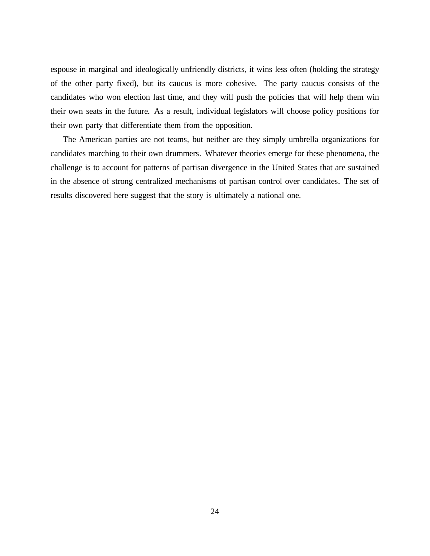espouse in marginal and ideologically unfriendly districts, it wins less often (holding the strategy of the other party fixed), but its caucus is more cohesive. The party caucus consists of the candidates who won election last time, and they will push the policies that will help them win their own seats in the future. As a result, individual legislators will choose policy positions for their own party that differentiate them from the opposition.

The American parties are not teams, but neither are they simply umbrella organizations for candidates marching to their own drummers. Whatever theories emerge for these phenomena, the challenge is to account for patterns of partisan divergence in the United States that are sustained in the absence of strong centralized mechanisms of partisan control over candidates. The set of results discovered here suggest that the story is ultimately a national one.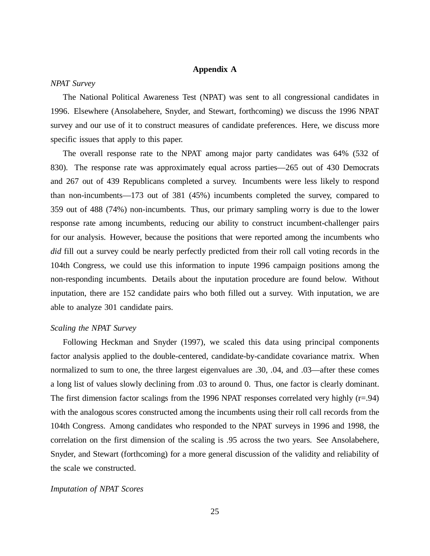## **Appendix A**

#### *NPAT Survey*

The National Political Awareness Test (NPAT) was sent to all congressional candidates in 1996. Elsewhere (Ansolabehere, Snyder, and Stewart, forthcoming) we discuss the 1996 NPAT survey and our use of it to construct measures of candidate preferences. Here, we discuss more specific issues that apply to this paper.

The overall response rate to the NPAT among major party candidates was 64% (532 of 830). The response rate was approximately equal across parties— 265 out of 430 Democrats and 267 out of 439 Republicans completed a survey. Incumbents were less likely to respond than non-incumbents— 173 out of 381 (45%) incumbents completed the survey, compared to 359 out of 488 (74%) non-incumbents. Thus, our primary sampling worry is due to the lower response rate among incumbents, reducing our ability to construct incumbent-challenger pairs for our analysis. However, because the positions that were reported among the incumbents who *did* fill out a survey could be nearly perfectly predicted from their roll call voting records in the 104th Congress, we could use this information to inpute 1996 campaign positions among the non-responding incumbents. Details about the inputation procedure are found below. Without inputation, there are 152 candidate pairs who both filled out a survey. With inputation, we are able to analyze 301 candidate pairs.

### *Scaling the NPAT Survey*

Following Heckman and Snyder (1997), we scaled this data using principal components factor analysis applied to the double-centered, candidate-by-candidate covariance matrix. When normalized to sum to one, the three largest eigenvalues are .30, .04, and .03— after these comes a long list of values slowly declining from .03 to around 0. Thus, one factor is clearly dominant. The first dimension factor scalings from the 1996 NPAT responses correlated very highly  $(r=.94)$ with the analogous scores constructed among the incumbents using their roll call records from the 104th Congress. Among candidates who responded to the NPAT surveys in 1996 and 1998, the correlation on the first dimension of the scaling is .95 across the two years. See Ansolabehere, Snyder, and Stewart (forthcoming) for a more general discussion of the validity and reliability of the scale we constructed.

#### *Imputation of NPAT Scores*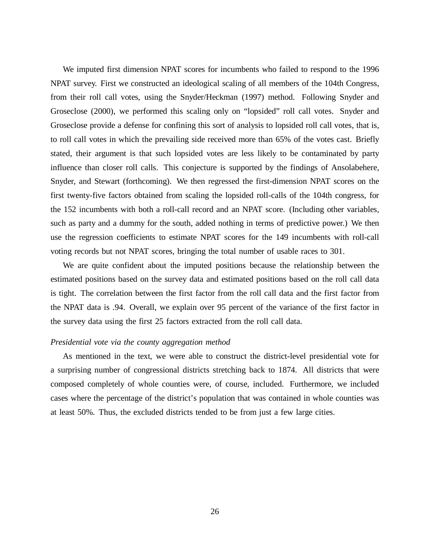We imputed first dimension NPAT scores for incumbents who failed to respond to the 1996 NPAT survey. First we constructed an ideological scaling of all members of the 104th Congress, from their roll call votes, using the Snyder/Heckman (1997) method. Following Snyder and Groseclose (2000), we performed this scaling only on "lopsided" roll call votes. Snyder and Groseclose provide a defense for confining this sort of analysis to lopsided roll call votes, that is, to roll call votes in which the prevailing side received more than 65% of the votes cast. Briefly stated, their argument is that such lopsided votes are less likely to be contaminated by party influence than closer roll calls. This conjecture is supported by the findings of Ansolabehere, Snyder, and Stewart (forthcoming). We then regressed the first-dimension NPAT scores on the first twenty-five factors obtained from scaling the lopsided roll-calls of the 104th congress, for the 152 incumbents with both a roll-call record and an NPAT score. (Including other variables, such as party and a dummy for the south, added nothing in terms of predictive power.) We then use the regression coefficients to estimate NPAT scores for the 149 incumbents with roll-call voting records but not NPAT scores, bringing the total number of usable races to 301.

We are quite confident about the imputed positions because the relationship between the estimated positions based on the survey data and estimated positions based on the roll call data is tight. The correlation between the first factor from the roll call data and the first factor from the NPAT data is .94. Overall, we explain over 95 percent of the variance of the first factor in the survey data using the first 25 factors extracted from the roll call data.

#### *Presidential vote via the county aggregation method*

As mentioned in the text, we were able to construct the district-level presidential vote for a surprising number of congressional districts stretching back to 1874. All districts that were composed completely of whole counties were, of course, included. Furthermore, we included cases where the percentage of the district's population that was contained in whole counties was at least 50%. Thus, the excluded districts tended to be from just a few large cities.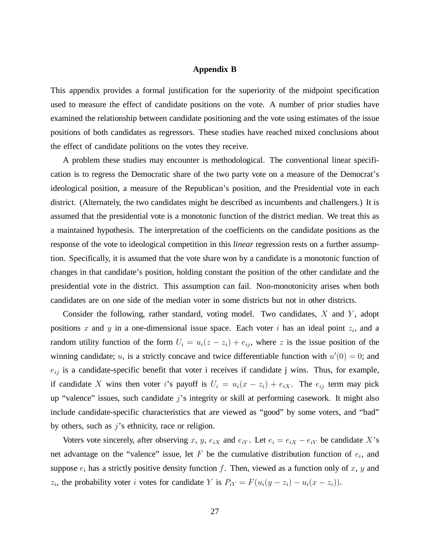#### **Appendix B**

This appendix provides a formal justification for the superiority of the midpoint specification used to measure the effect of candidate positions on the vote. A number of prior studies have examined the relationship between candidate positioning and the vote using estimates of the issue positions of both candidates as regressors. These studies have reached mixed conclusions about the effect of candidate politions on the votes they receive.

A problem these studies may encounter is methodological. The conventional linear specification is to regress the Democratic share of the two party vote on a measure of the Democrat's ideological position, a measure of the Republican's position, and the Presidential vote in each district. (Alternately, the two candidates might be described as incumbents and challengers.) It is assumed that the presidential vote is a monotonic function of the district median. We treat this as a maintained hypothesis. The interpretation of the coefficients on the candidate positions as the response of the vote to ideological competition in this *linear* regression rests on a further assumption. Specifically, it is assumed that the vote share won by a candidate is a monotonic function of changes in that candidate's position, holding constant the position of the other candidate and the presidential vote in the district. This assumption can fail. Non-monotonicity arises when both candidates are on one side of the median voter in some districts but not in other districts.

Consider the following, rather standard, voting model. Two candidates,  $X$  and  $Y$ , adopt positions x and y in a one-dimensional issue space. Each voter i has an ideal point  $z_i$ , and a random utility function of the form  $U_i = u_i(z - z_i) + e_{ij}$ , where z is the issue position of the winning candidate;  $u_i$  is a strictly concave and twice differentiable function with  $u'(0)=0$ ; and  $e_{ij}$  is a candidate-specific benefit that voter i receives if candidate j wins. Thus, for example, if candidate X wins then voter i's payoff is  $U_i = u_i(x - z_i) + e_{iX}$ . The  $e_{ij}$  term may pick up "valence" issues, such candidate  $j$ 's integrity or skill at performing casework. It might also include candidate-specific characteristics that are viewed as "good" by some voters, and "bad" by others, such as  $j$ 's ethnicity, race or religion.

Voters vote sincerely, after observing x, y,  $e_{iX}$  and  $e_{iY}$ . Let  $e_i=e_{iX} - e_{iY}$  be candidate X's net advantage on the "valence" issue, let  $F$  be the cumulative distribution function of  $e_i$ , and suppose  $e_i$  has a strictly positive density function f. Then, viewed as a function only of x, y and  $z_i$ , the probability voter i votes for candidate Y is  $P_{iY} = F(u_i(y - z_i) - u_i(x - z_i)).$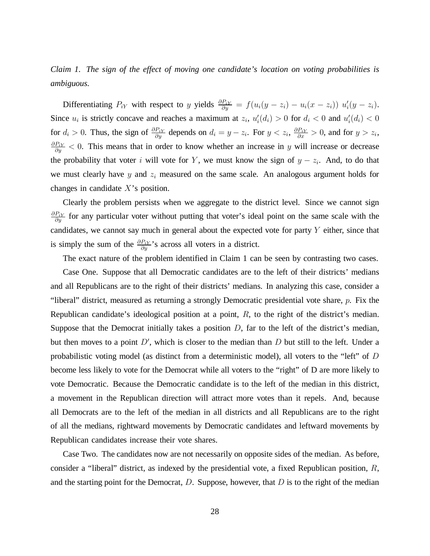*Claim 1. The sign of the effect of moving one candidate's location on voting probabilities is ambiguous.*

Differentiating  $P_{iY}$  with respect to y yields  $\frac{\partial P_{iY}}{\partial y}$  $\frac{P_{iY}}{\partial y} = f(u_i(y - z_i) - u_i(x - z_i)) u'_i(y - z_i).$ Since  $u_i$  is strictly concave and reaches a maximum at  $z_i$ ,  $u'_i(d_i) > 0$  for  $d_i < 0$  and  $u'_i(d_i) < 0$ for  $d_i > 0$ . Thus, the sign of  $\frac{\partial P_{i\lambda}}{\partial u}$  $\frac{P_{iY}}{\partial y}$  depends on  $d_i = y - z_i$ . For  $y < z_i$ ,  $\frac{\partial P_{iY}}{\partial x}$  $\frac{P_{iY}}{\partial x} > 0$ , and for  $y > z_i$ ,  $\partial P_i$ y  $\frac{P_{iY}}{\partial y}$  < 0. This means that in order to know whether an increase in y will increase or decrease the probability that voter i will vote for Y, we must know the sign of  $y - z_i$ . And, to do that we must clearly have  $y$  and  $z_i$  measured on the same scale. An analogous argument holds for changes in candidate  $X$ 's position.

Clearly the problem persists when we aggregate to the district level. Since we cannot sign  $\partial P_i$ y  $\frac{P_{iY}}{\partial y}$  for any particular voter without putting that voter's ideal point on the same scale with the candidates, we cannot say much in general about the expected vote for party  $Y$  either, since that is simply the sum of the  $\frac{\partial P_{iY}}{\partial u}$  $\frac{P_{iY}}{\partial y}$ 's across all voters in a district.

The exact nature of the problem identified in Claim 1 can be seen by contrasting two cases.

Case One. Suppose that all Democratic candidates are to the left of their districts'medians and all Republicans are to the right of their districts'medians. In analyzing this case, consider a "liberal" district, measured as returning a strongly Democratic presidential vote share,  $p$ . Fix the Republican candidate's ideological position at a point,  $R$ , to the right of the district's median. Suppose that the Democrat initially takes a position  $D$ , far to the left of the district's median, but then moves to a point  $D'$ , which is closer to the median than D but still to the left. Under a probabilistic voting model (as distinct from a deterministic model), all voters to the "left" of D become less likely to vote for the Democrat while all voters to the "right" of D are more likely to vote Democratic. Because the Democratic candidate is to the left of the median in this district, a movement in the Republican direction will attract more votes than it repels. And, because all Democrats are to the left of the median in all districts and all Republicans are to the right of all the medians, rightward movements by Democratic candidates and leftward movements by Republican candidates increase their vote shares.

Case Two. The candidates now are not necessarily on opposite sides of the median. As before, consider a "liberal" district, as indexed by the presidential vote, a fixed Republican position,  $R$ , and the starting point for the Democrat,  $D$ . Suppose, however, that  $D$  is to the right of the median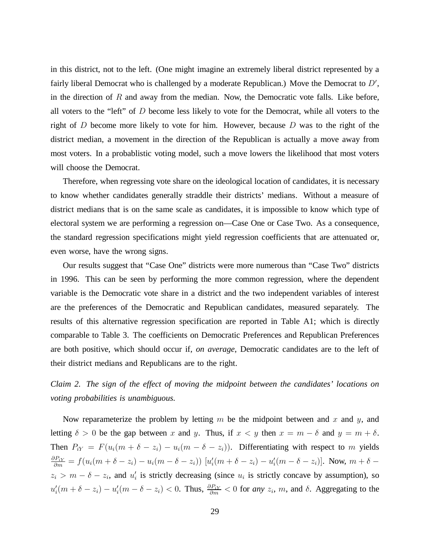in this district, not to the left. (One might imagine an extremely liberal district represented by a fairly liberal Democrat who is challenged by a moderate Republican.) Move the Democrat to  $D'$ , in the direction of  $R$  and away from the median. Now, the Democratic vote falls. Like before, all voters to the "left" of D become less likely to vote for the Democrat, while all voters to the right of D become more likely to vote for him. However, because D was to the right of the district median, a movement in the direction of the Republican is actually a move away from most voters. In a probablistic voting model, such a move lowers the likelihood that most voters will choose the Democrat.

Therefore, when regressing vote share on the ideological location of candidates, it is necessary to know whether candidates generally straddle their districts' medians. Without a measure of district medians that is on the same scale as candidates, it is impossible to know which type of electoral system we are performing a regression on— Case One or Case Two. As a consequence, the standard regression specifications might yield regression coefficients that are attenuated or, even worse, have the wrong signs.

Our results suggest that "Case One" districts were more numerous than "Case Two" districts in 1996. This can be seen by performing the more common regression, where the dependent variable is the Democratic vote share in a district and the two independent variables of interest are the preferences of the Democratic and Republican candidates, measured separately. The results of this alternative regression specification are reported in Table A1; which is directly comparable to Table 3. The coefficients on Democratic Preferences and Republican Preferences are both positive, which should occur if, *on average*, Democratic candidates are to the left of their district medians and Republicans are to the right.

*Claim 2. The sign of the effect of moving the midpoint between the candidates'locations on voting probabilities is unambiguous.*

Now reparameterize the problem by letting m be the midpoint between and x and y, and letting  $\delta > 0$  be the gap between x and y. Thus, if  $x < y$  then  $x = m - \delta$  and  $y = m + \delta$ . Then  $P_{iY} = F(u_i(m + \delta - z_i) - u_i(m - \delta - z_i))$ . Differentiating with respect to m yields  $\partial P_{iY}$  $\frac{\partial P_{iY}}{\partial m} = f(u_i(m + \delta - z_i) - u_i(m - \delta - z_i)) [u'_i(m + \delta - z_i) - u'_i(m - \delta - z_i)].$  Now,  $m + \delta - z_i$  $z_i > m - \delta - z_i$ , and  $u'_i$  is strictly decreasing (since  $u_i$  is strictly concave by assumption), so  $u'_i(m+\delta-z_i) - u'_i(m-\delta-z_i) < 0$ . Thus,  $\frac{\partial P_{iY}}{\partial m}$  $\frac{\partial P_{iY}}{\partial m}$  < 0 for *any*  $z_i$ , *m*, and  $\delta$ . Aggregating to the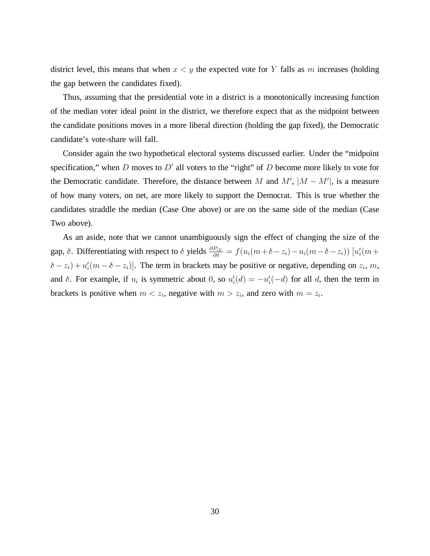district level, this means that when  $x < y$  the expected vote for Y falls as m increases (holding the gap between the candidates fixed).

Thus, assuming that the presidential vote in a district is a monotonically increasing function of the median voter ideal point in the district, we therefore expect that as the midpoint between the candidate positions moves in a more liberal direction (holding the gap fixed), the Democratic candidate's vote-share will fall.

Consider again the two hypothetical electoral systems discussed earlier. Under the "midpoint specification," when  $D$  moves to  $D'$  all voters to the "right" of  $D$  become more likely to vote for the Democratic candidate. Therefore, the distance between M and M',  $|M - M'|$ , is a measure of how many voters, on net, are more likely to support the Democrat. This is true whether the candidates straddle the median (Case One above) or are on the same side of the median (Case Two above).

As an aside, note that we cannot unambiguously sign the effect of changing the size of the gap,  $\delta$ . Differentiating with respect to  $\delta$  yields  $\frac{\partial P_{iY}}{\partial \delta}$  $\frac{P_{iY}}{\partial \delta} = f(u_i(m+\delta-z_i)-u_i(m-\delta-z_i))\left[u_i'(m+\delta-z_i)\right]$  $\{\delta - z_i\} + u_i'(m - \delta - z_i)\}.$  The term in brackets may be positive or negative, depending on  $z_i$ , m, and  $\delta$ . For example, if  $u_i$  is symmetric about 0, so  $u'_i(d) = -u'_i(-d)$  for all d, then the term in brackets is positive when  $m < z_i$ , negative with  $m > z_i$ , and zero with  $m = z_i$ .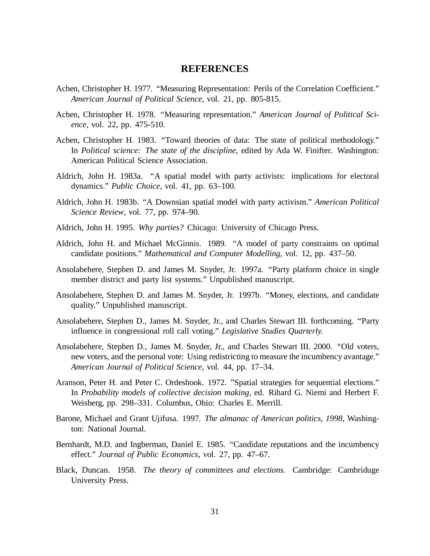## **REFERENCES**

- Achen, Christopher H. 1977. "Measuring Representation: Perils of the Correlation Coefficient." *American Journal of Political Science*, vol. 21, pp. 805-815.
- Achen, Christopher H. 1978. "Measuring representation." *American Journal of Political Science*, vol. 22, pp. 475-510.
- Achen, Christopher H. 1983. "Toward theories of data: The state of political methodology." In *Political science: The state of the discipline*, edited by Ada W. Finifter. Washington: American Political Science Association.
- Aldrich, John H. 1983a. "A spatial model with party activists: implications for electoral dynamics." *Public Choice*, vol. 41, pp. 63–100.
- Aldrich, John H. 1983b. "A Downsian spatial model with party activism." *American Political Science Review*, vol. 77, pp. 974–90.
- Aldrich, John H. 1995. *Why parties?* Chicago: University of Chicago Press.
- Aldrich, John H. and Michael McGinnis. 1989. "A model of party constraints on optimal candidate positions." *Mathematical and Computer Modelling*, vol. 12, pp. 437–50.
- Ansolabehere, Stephen D. and James M. Snyder, Jr. 1997a. "Party platform choice in single member district and party list systems." Unpublished manuscript.
- Ansolabehere, Stephen D. and James M. Snyder, Jr. 1997b. "Money, elections, and candidate quality." Unpublished manuscript.
- Ansolabehere, Stephen D., James M. Snyder, Jr., and Charles Stewart III. forthcoming. "Party influence in congressional roll call voting." *Legislative Studies Quarterly.*
- Ansolabehere, Stephen D., James M. Snyder, Jr., and Charles Stewart III. 2000. "Old voters, new voters, and the personal vote: Using redistricting to measure the incumbency avantage." *American Journal of Political Science,* vol. 44, pp. 17–34.
- Aranson, Peter H. and Peter C. Ordeshook. 1972. "Spatial strategies for sequential elections." In *Probability models of collective decision making,* ed. Rihard G. Niemi and Herbert F. Weisberg, pp. 298–331. Columbus, Ohio: Charles E. Merrill.
- Barone, Michael and Grant Ujifusa. 1997. *The almanac of American politics, 1998*, Washington: National Journal.
- Bernhardt, M.D. and Ingberman, Daniel E. 1985. "Candidate reputations and the incumbency effect." *Journal of Public Economics*, vol. 27, pp. 47–67.
- Black, Duncan. 1958. *The theory of committees and elections.* Cambridge: Cambriduge University Press.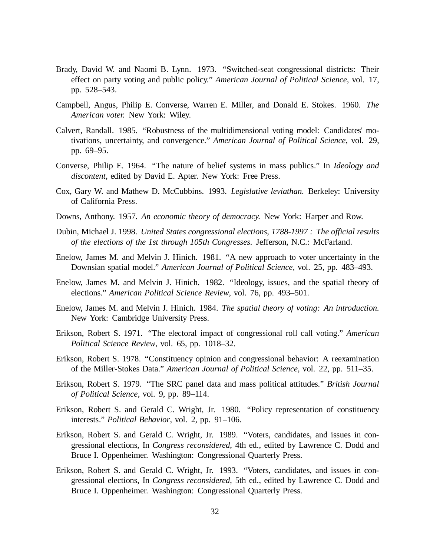- Brady, David W. and Naomi B. Lynn. 1973. "Switched-seat congressional districts: Their effect on party voting and public policy." *American Journal of Political Science*, vol. 17, pp. 528–543.
- Campbell, Angus, Philip E. Converse, Warren E. Miller, and Donald E. Stokes. 1960. *The American voter.* New York: Wiley.
- Calvert, Randall. 1985. "Robustness of the multidimensional voting model: Candidates' motivations, uncertainty, and convergence." *American Journal of Political Science*, vol. 29, pp. 69–95.
- Converse, Philip E. 1964. "The nature of belief systems in mass publics." In *Ideology and discontent*, edited by David E. Apter. New York: Free Press.
- Cox, Gary W. and Mathew D. McCubbins. 1993. *Legislative leviathan.* Berkeley: University of California Press.
- Downs, Anthony. 1957. *An economic theory of democracy.* New York: Harper and Row.
- Dubin, Michael J. 1998. *United States congressional elections, 1788-1997 : The official results of the elections of the 1st through 105th Congresses.* Jefferson, N.C.: McFarland.
- Enelow, James M. and Melvin J. Hinich. 1981. "A new approach to voter uncertainty in the Downsian spatial model." *American Journal of Political Science*, vol. 25, pp. 483–493.
- Enelow, James M. and Melvin J. Hinich. 1982. "Ideology, issues, and the spatial theory of elections." *American Political Science Review*, vol. 76, pp. 493–501.
- Enelow, James M. and Melvin J. Hinich. 1984. *The spatial theory of voting: An introduction.* New York: Cambridge University Press.
- Erikson, Robert S. 1971. "The electoral impact of congressional roll call voting." *American Political Science Review*, vol. 65, pp. 1018–32.
- Erikson, Robert S. 1978. "Constituency opinion and congressional behavior: A reexamination of the Miller-Stokes Data." *American Journal of Political Science*, vol. 22, pp. 511–35.
- Erikson, Robert S. 1979. "The SRC panel data and mass political attitudes." *British Journal of Political Science*, vol. 9, pp. 89–114.
- Erikson, Robert S. and Gerald C. Wright, Jr. 1980. "Policy representation of constituency interests." *Political Behavior*, vol. 2, pp. 91–106.
- Erikson, Robert S. and Gerald C. Wright, Jr. 1989. "Voters, candidates, and issues in congressional elections, In *Congress reconsidered*, 4th ed., edited by Lawrence C. Dodd and Bruce I. Oppenheimer. Washington: Congressional Quarterly Press.
- Erikson, Robert S. and Gerald C. Wright, Jr. 1993. "Voters, candidates, and issues in congressional elections, In *Congress reconsidered*, 5th ed., edited by Lawrence C. Dodd and Bruce I. Oppenheimer. Washington: Congressional Quarterly Press.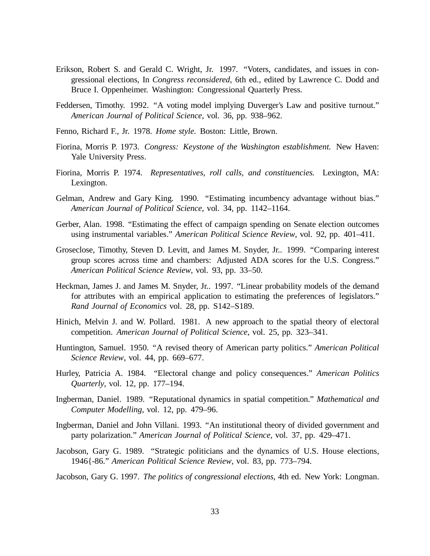- Erikson, Robert S. and Gerald C. Wright, Jr. 1997. "Voters, candidates, and issues in congressional elections, In *Congress reconsidered*, 6th ed., edited by Lawrence C. Dodd and Bruce I. Oppenheimer. Washington: Congressional Quarterly Press.
- Feddersen, Timothy. 1992. "A voting model implying Duverger's Law and positive turnout." *American Journal of Political Science*, vol. 36, pp. 938–962.
- Fenno, Richard F., Jr. 1978. *Home style.* Boston: Little, Brown.
- Fiorina, Morris P. 1973. *Congress: Keystone of the Washington establishment.* New Haven: Yale University Press.
- Fiorina, Morris P. 1974. *Representatives, roll calls, and constituencies.* Lexington, MA: Lexington.
- Gelman, Andrew and Gary King. 1990. "Estimating incumbency advantage without bias." *American Journal of Political Science*, vol. 34, pp. 1142–1164.
- Gerber, Alan. 1998. "Estimating the effect of campaign spending on Senate election outcomes using instrumental variables." *American Political Science Review*, vol. 92, pp. 401–411.
- Groseclose, Timothy, Steven D. Levitt, and James M. Snyder, Jr.. 1999. "Comparing interest group scores across time and chambers: Adjusted ADA scores for the U.S. Congress." *American Political Science Review*, vol. 93, pp. 33–50.
- Heckman, James J. and James M. Snyder, Jr.. 1997. "Linear probability models of the demand for attributes with an empirical application to estimating the preferences of legislators." *Rand Journal of Economics* vol. 28, pp. S142–S189.
- Hinich, Melvin J. and W. Pollard. 1981. A new approach to the spatial theory of electoral competition. *American Journal of Political Science*, vol. 25, pp. 323–341.
- Huntington, Samuel. 1950. "A revised theory of American party politics." *American Political Science Review*, vol. 44, pp. 669–677.
- Hurley, Patricia A. 1984. "Electoral change and policy consequences." *American Politics Quarterly*, vol. 12, pp. 177–194.
- Ingberman, Daniel. 1989. "Reputational dynamics in spatial competition." *Mathematical and Computer Modelling,* vol. 12, pp. 479–96.
- Ingberman, Daniel and John Villani. 1993. "An institutional theory of divided government and party polarization." *American Journal of Political Science*, vol. 37, pp. 429–471.
- Jacobson, Gary G. 1989. "Strategic politicians and the dynamics of U.S. House elections, 1946{-86." *American Political Science Review*, vol. 83, pp. 773–794.
- Jacobson, Gary G. 1997. *The politics of congressional elections*, 4th ed. New York: Longman.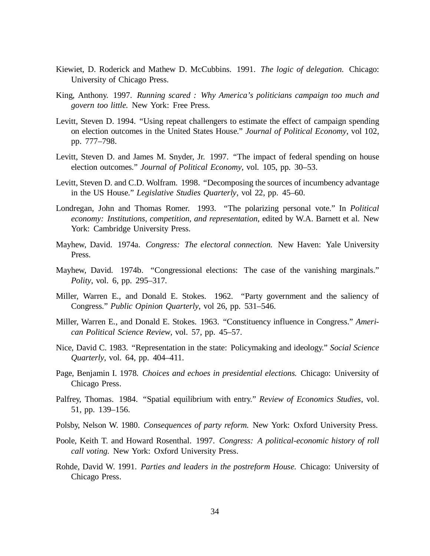- Kiewiet, D. Roderick and Mathew D. McCubbins. 1991. *The logic of delegation.* Chicago: University of Chicago Press.
- King, Anthony. 1997. *Running scared : Why America's politicians campaign too much and govern too little.* New York: Free Press.
- Levitt, Steven D. 1994. "Using repeat challengers to estimate the effect of campaign spending on election outcomes in the United States House." *Journal of Political Economy*, vol 102, pp. 777–798.
- Levitt, Steven D. and James M. Snyder, Jr. 1997. "The impact of federal spending on house election outcomes." *Journal of Political Economy*, vol. 105, pp. 30–53.
- Levitt, Steven D. and C.D. Wolfram. 1998. "Decomposing the sources of incumbency advantage in the US House." *Legislative Studies Quarterly*, vol 22, pp. 45–60.
- Londregan, John and Thomas Romer. 1993. "The polarizing personal vote." In *Political economy: Institutions, competition, and representation*, edited by W.A. Barnett et al. New York: Cambridge University Press.
- Mayhew, David. 1974a. *Congress: The electoral connection.* New Haven: Yale University Press.
- Mayhew, David. 1974b. "Congressional elections: The case of the vanishing marginals." *Polity*, vol. 6, pp. 295–317.
- Miller, Warren E., and Donald E. Stokes. 1962. "Party government and the saliency of Congress." *Public Opinion Quarterly*, vol 26, pp. 531–546.
- Miller, Warren E., and Donald E. Stokes. 1963. "Constituency influence in Congress." *American Political Science Review*, vol. 57, pp. 45–57.
- Nice, David C. 1983. "Representation in the state: Policymaking and ideology." *Social Science Quarterly*, vol. 64, pp. 404–411.
- Page, Benjamin I. 1978. *Choices and echoes in presidential elections.* Chicago: University of Chicago Press.
- Palfrey, Thomas. 1984. "Spatial equilibrium with entry." *Review of Economics Studies*, vol. 51, pp. 139–156.
- Polsby, Nelson W. 1980. *Consequences of party reform.* New York: Oxford University Press.
- Poole, Keith T. and Howard Rosenthal. 1997. *Congress: A political-economic history of roll call voting.* New York: Oxford University Press.
- Rohde, David W. 1991. *Parties and leaders in the postreform House.* Chicago: University of Chicago Press.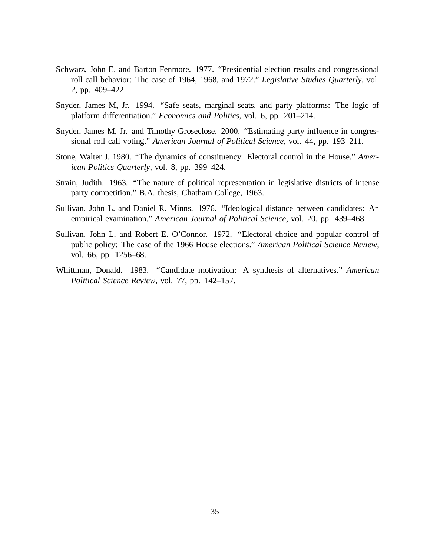- Schwarz, John E. and Barton Fenmore. 1977. "Presidential election results and congressional roll call behavior: The case of 1964, 1968, and 1972." *Legislative Studies Quarterly*, vol. 2, pp. 409–422.
- Snyder, James M, Jr. 1994. "Safe seats, marginal seats, and party platforms: The logic of platform differentiation." *Economics and Politics*, vol. 6, pp. 201–214.
- Snyder, James M, Jr. and Timothy Groseclose. 2000. "Estimating party influence in congressional roll call voting." *American Journal of Political Science,* vol. 44, pp. 193–211.
- Stone, Walter J. 1980. "The dynamics of constituency: Electoral control in the House." *American Politics Quarterly*, vol. 8, pp. 399–424.
- Strain, Judith. 1963. "The nature of political representation in legislative districts of intense party competition." B.A. thesis, Chatham College, 1963.
- Sullivan, John L. and Daniel R. Minns. 1976. "Ideological distance between candidates: An empirical examination." *American Journal of Political Science*, vol. 20, pp. 439–468.
- Sullivan, John L. and Robert E. O'Connor. 1972. "Electoral choice and popular control of public policy: The case of the 1966 House elections." *American Political Science Review*, vol. 66, pp. 1256–68.
- Whittman, Donald. 1983. "Candidate motivation: A synthesis of alternatives." *American Political Science Review*, vol. 77, pp. 142–157.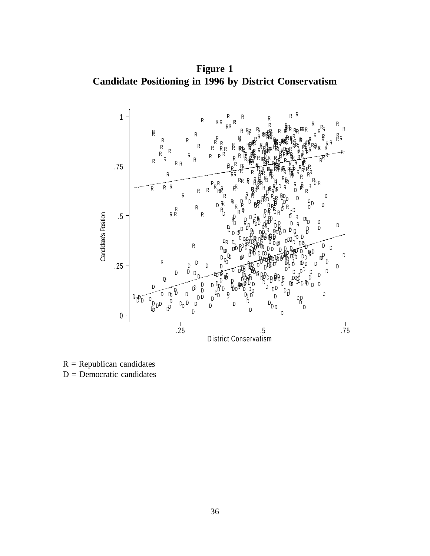**Figure 1 Candidate Positioning in 1996 by District Conservatism**



 $R = Republican$  candidates  $D =$  Democratic candidates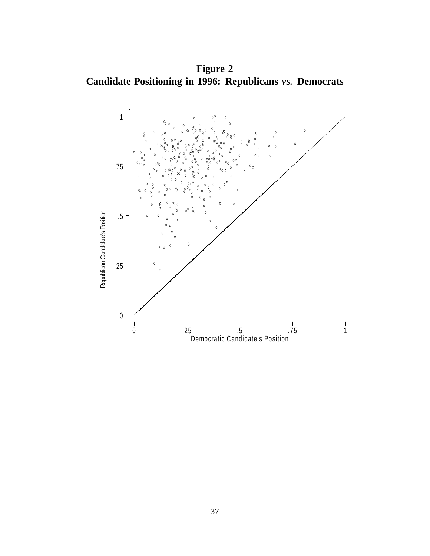**Figure 2 Candidate Positioning in 1996: Republicans** *vs.* **Democrats**

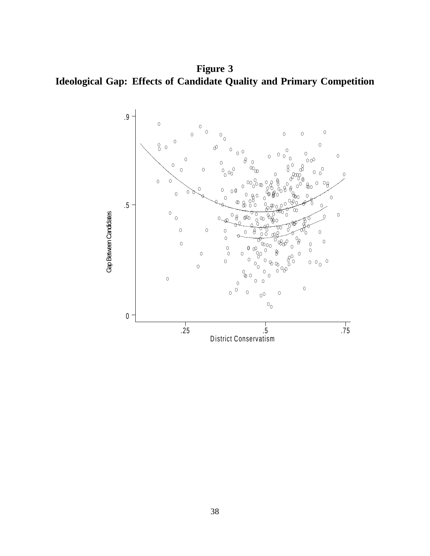**Figure 3 Ideological Gap: Effects of Candidate Quality and Primary Competition**

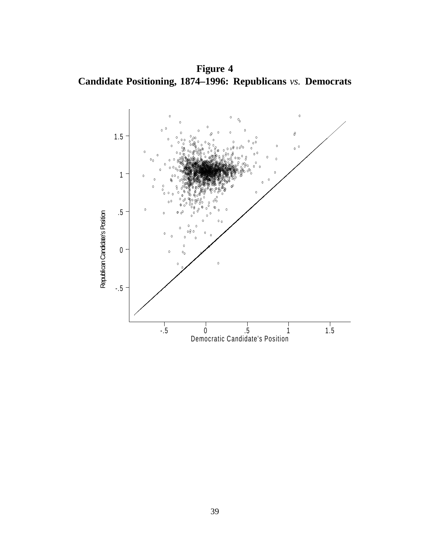**Figure 4 Candidate Positioning, 1874–1996: Republicans** *vs.* **Democrats**

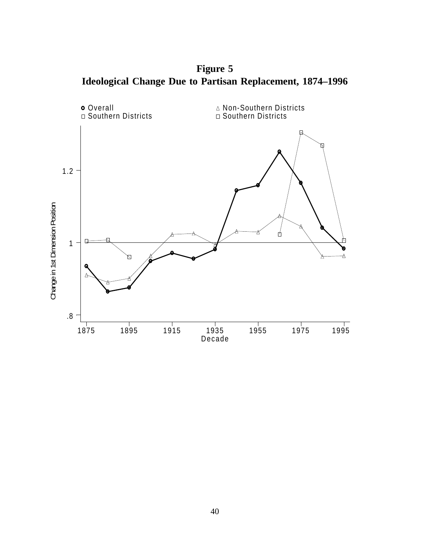**Figure 5 Ideological Change Due to Partisan Replacement, 1874–1996**

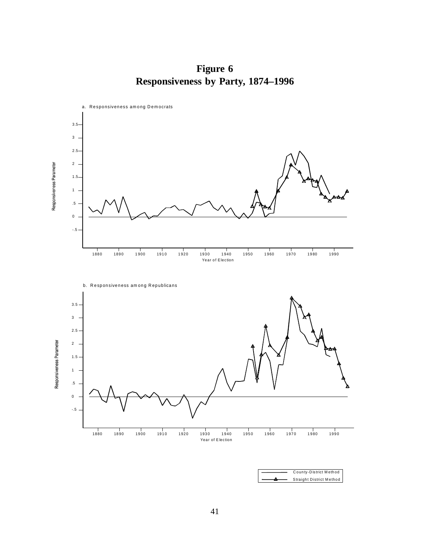**Figure 6 Responsiveness by Party, 1874–1996**

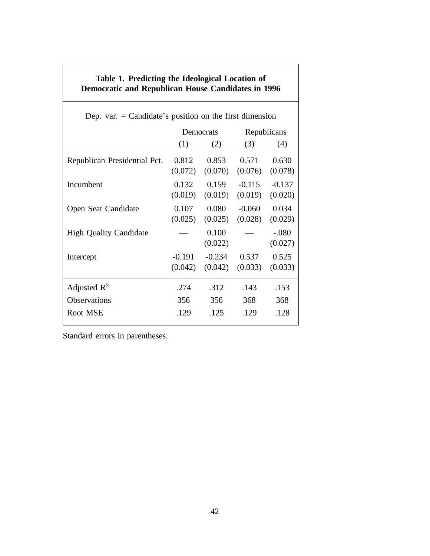| <b>Democratic and Republican House Candidates in 1996</b> |                     |                     |                     |                     |
|-----------------------------------------------------------|---------------------|---------------------|---------------------|---------------------|
| Dep. var. = Candidate's position on the first dimension   |                     |                     |                     |                     |
|                                                           | Democrats           |                     | Republicans         |                     |
|                                                           | (1)                 | (2)                 | (3)                 | (4)                 |
| Republican Presidential Pct.                              | 0.812<br>(0.072)    | 0.853<br>(0.070)    | 0.571<br>(0.076)    | 0.630<br>(0.078)    |
| Incumbent                                                 | 0.132<br>(0.019)    | 0.159<br>(0.019)    | $-0.115$<br>(0.019) | $-0.137$<br>(0.020) |
| Open Seat Candidate                                       | 0.107<br>(0.025)    | 0.080<br>(0.025)    | $-0.060$<br>(0.028) | 0.034<br>(0.029)    |
| <b>High Quality Candidate</b>                             |                     | 0.100<br>(0.022)    |                     | $-.080$<br>(0.027)  |
| Intercept                                                 | $-0.191$<br>(0.042) | $-0.234$<br>(0.042) | 0.537<br>(0.033)    | 0.525<br>(0.033)    |
| Adjusted $\mathbb{R}^2$                                   | .274                | .312                | .143                | .153                |
| Observations                                              | 356                 | 356                 | 368                 | 368                 |
| Root MSE                                                  | .129                | .125                | .129                | .128                |

**Table 1. Predicting the Ideological Location of**

Standard errors in parentheses.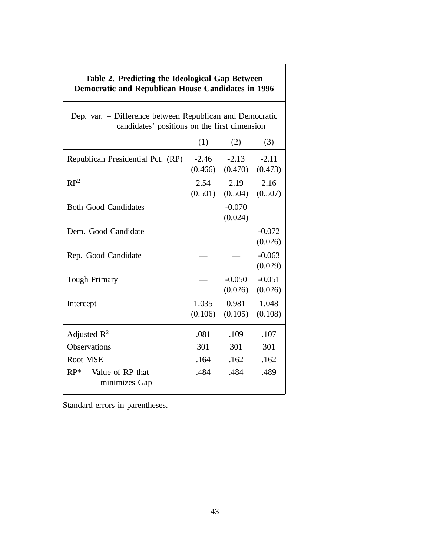| Table 2. Predicting the Ideological Gap Between<br><b>Democratic and Republican House Candidates in 1996</b> |                    |                     |                     |
|--------------------------------------------------------------------------------------------------------------|--------------------|---------------------|---------------------|
| Dep. var. = Difference between Republican and Democratic<br>candidates' positions on the first dimension     |                    |                     |                     |
|                                                                                                              | (1)                | (2)                 | (3)                 |
| Republican Presidential Pct. (RP)                                                                            | $-2.46$<br>(0.466) | $-2.13$<br>(0.470)  | $-2.11$<br>(0.473)  |
| RP <sup>2</sup>                                                                                              | 2.54<br>(0.501)    | 2.19<br>(0.504)     | 2.16<br>(0.507)     |
| <b>Both Good Candidates</b>                                                                                  |                    | $-0.070$<br>(0.024) |                     |
| Dem. Good Candidate                                                                                          |                    |                     | $-0.072$<br>(0.026) |
| Rep. Good Candidate                                                                                          |                    |                     | $-0.063$<br>(0.029) |
| <b>Tough Primary</b>                                                                                         |                    | $-0.050$<br>(0.026) | $-0.051$<br>(0.026) |
| Intercept                                                                                                    | 1.035<br>(0.106)   | 0.981<br>(0.105)    | 1.048<br>(0.108)    |
| Adjusted $R^2$                                                                                               | .081               | .109                | .107                |
| Observations                                                                                                 | 301                | 301                 | 301                 |
| Root MSE                                                                                                     | .164               | .162                | .162                |
| $RP^* =$ Value of RP that<br>minimizes Gap                                                                   | .484               | .484                | .489                |

Standard errors in parentheses.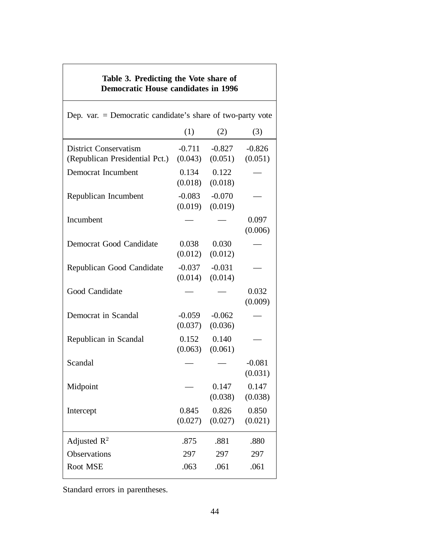| Table 3. Predicting the Vote share of<br><b>Democratic House candidates in 1996</b> |                     |                     |                     |
|-------------------------------------------------------------------------------------|---------------------|---------------------|---------------------|
| Dep. var. $=$ Democratic candidate's share of two-party vote                        |                     |                     |                     |
|                                                                                     | (1)                 | (2)                 | (3)                 |
| <b>District Conservatism</b><br>(Republican Presidential Pct.)                      | $-0.711$<br>(0.043) | $-0.827$<br>(0.051) | $-0.826$<br>(0.051) |
| Democrat Incumbent                                                                  | 0.134<br>(0.018)    | 0.122<br>(0.018)    |                     |
| Republican Incumbent                                                                | $-0.083$<br>(0.019) | $-0.070$<br>(0.019) |                     |
| Incumbent                                                                           |                     |                     | 0.097<br>(0.006)    |
| Democrat Good Candidate                                                             | 0.038<br>(0.012)    | 0.030<br>(0.012)    |                     |
| Republican Good Candidate                                                           | $-0.037$<br>(0.014) | $-0.031$<br>(0.014) |                     |
| Good Candidate                                                                      |                     |                     | 0.032<br>(0.009)    |
| Democrat in Scandal                                                                 | $-0.059$<br>(0.037) | $-0.062$<br>(0.036) |                     |
| Republican in Scandal                                                               | 0.152<br>(0.063)    | 0.140<br>(0.061)    |                     |
| Scandal                                                                             |                     |                     | $-0.081$<br>(0.031) |
| Midpoint                                                                            |                     | 0.147<br>(0.038)    | 0.147<br>(0.038)    |
| Intercept                                                                           | 0.845<br>(0.027)    | 0.826<br>(0.027)    | 0.850<br>(0.021)    |
| Adjusted $\mathbb{R}^2$                                                             | .875                | .881                | .880                |
| Observations                                                                        | 297                 | 297                 | 297                 |
| Root MSE                                                                            | .063                | .061                | .061                |

Standard errors in parentheses.

I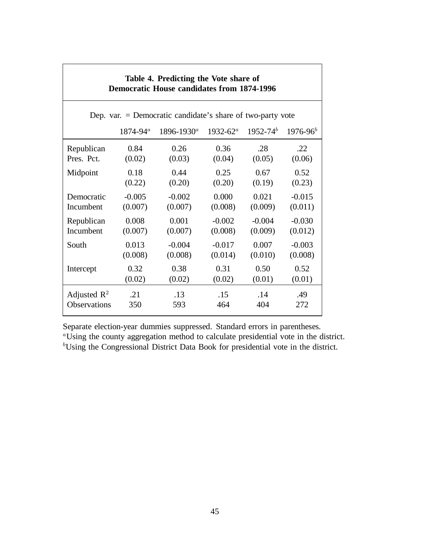| Table 4. Predicting the Vote share of<br><b>Democratic House candidates from 1874-1996</b> |               |                 |               |               |              |
|--------------------------------------------------------------------------------------------|---------------|-----------------|---------------|---------------|--------------|
| Dep. var. $=$ Democratic candidate's share of two-party vote                               |               |                 |               |               |              |
|                                                                                            | $1874 - 94^a$ | $1896 - 1930^a$ | $1932 - 62^a$ | $1952 - 74^b$ | $1976 - 96b$ |
| Republican                                                                                 | 0.84          | 0.26            | 0.36          | .28           | .22          |
| Pres. Pct.                                                                                 | (0.02)        | (0.03)          | (0.04)        | (0.05)        | (0.06)       |
| Midpoint                                                                                   | 0.18          | 0.44            | 0.25          | 0.67          | 0.52         |
|                                                                                            | (0.22)        | (0.20)          | (0.20)        | (0.19)        | (0.23)       |
| Democratic                                                                                 | $-0.005$      | $-0.002$        | 0.000         | 0.021         | $-0.015$     |
| Incumbent                                                                                  | (0.007)       | (0.007)         | (0.008)       | (0.009)       | (0.011)      |
| Republican                                                                                 | 0.008         | 0.001           | $-0.002$      | $-0.004$      | $-0.030$     |
| Incumbent                                                                                  | (0.007)       | (0.007)         | (0.008)       | (0.009)       | (0.012)      |
| South                                                                                      | 0.013         | $-0.004$        | $-0.017$      | 0.007         | $-0.003$     |
|                                                                                            | (0.008)       | (0.008)         | (0.014)       | (0.010)       | (0.008)      |
| Intercept                                                                                  | 0.32          | 0.38            | 0.31          | 0.50          | 0.52         |
|                                                                                            | (0.02)        | (0.02)          | (0.02)        | (0.01)        | (0.01)       |
| Adjusted $\mathbb{R}^2$                                                                    | .21           | .13             | .15           | .14           | .49          |
| Observations                                                                               | 350           | 593             | 464           | 404           | 272          |

Separate election-year dummies suppressed. Standard errors in parentheses.

<sup>a</sup>Using the county aggregation method to calculate presidential vote in the district. <sup>b</sup>Using the Congressional District Data Book for presidential vote in the district.